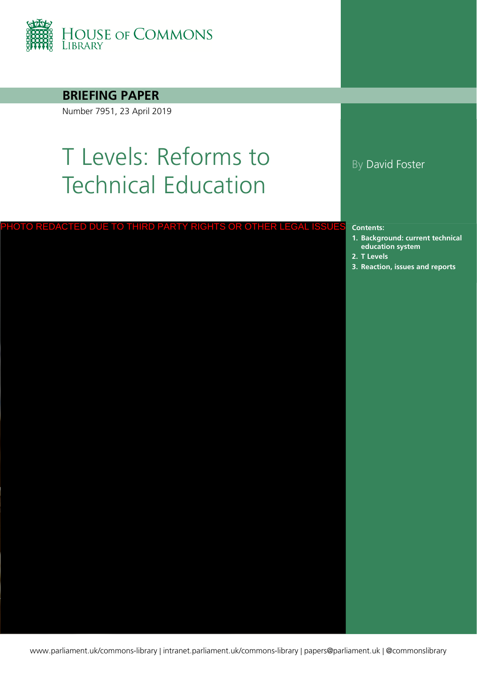

**BRIEFING PAPER**

Number 7951, 23 April 2019

# T Levels: Reforms to Technical Education

# PHOTO REDACTED DUE TO THIRD PARTY RIGHTS OR OTHER LEGAL ISSU<mark>ES contents:</mark><br>1. Background: current technic<br>2. T Levels<br>3. [Reaction, issues and reports](#page-19-0)

#### By David Foster

**Contents:**

- **1. [Background: current technical](#page-3-0)  education system**
- **2. [T Levels](#page-6-0)**
-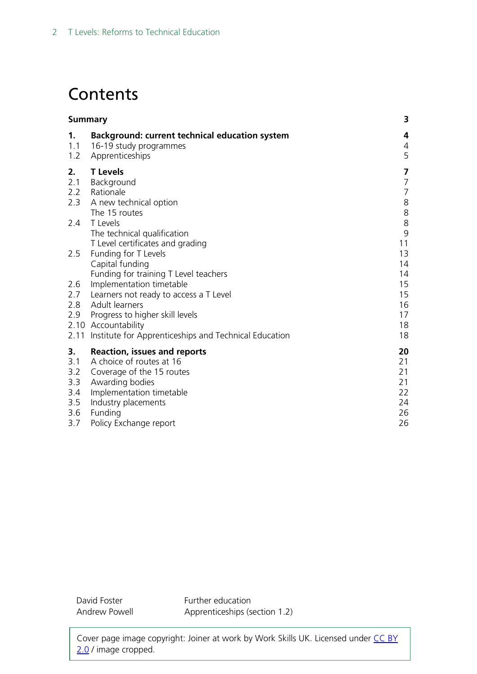# **Contents**

|                                                     | <b>Summary</b>                                                                                                                                                                                                                                                                                                                  |                                                                           |
|-----------------------------------------------------|---------------------------------------------------------------------------------------------------------------------------------------------------------------------------------------------------------------------------------------------------------------------------------------------------------------------------------|---------------------------------------------------------------------------|
| 1.<br>1.1<br>1.2                                    | Background: current technical education system<br>16-19 study programmes<br>Apprenticeships                                                                                                                                                                                                                                     | 4<br>4<br>5                                                               |
| 2.<br>2.1<br>2.2<br>2.3<br>2.4                      | <b>T</b> Levels<br>Background<br>Rationale<br>A new technical option<br>The 15 routes<br>T Levels<br>The technical qualification                                                                                                                                                                                                | 7<br>$\overline{7}$<br>$\overline{7}$<br>8<br>$\,8\,$<br>8<br>$\mathsf 9$ |
| 2.5<br>2.6<br>2.7<br>2.8<br>2.9<br>2.11             | T Level certificates and grading<br>Funding for T Levels<br>Capital funding<br>Funding for training T Level teachers<br>Implementation timetable<br>Learners not ready to access a T Level<br>Adult learners<br>Progress to higher skill levels<br>2.10 Accountability<br>Institute for Apprenticeships and Technical Education | 11<br>13<br>14<br>14<br>15<br>15<br>16<br>17<br>18<br>18                  |
| 3.<br>3.1<br>3.2<br>3.3<br>3.4<br>3.5<br>3.6<br>3.7 | <b>Reaction, issues and reports</b><br>A choice of routes at 16<br>Coverage of the 15 routes<br>Awarding bodies<br>Implementation timetable<br>Industry placements<br>Funding<br>Policy Exchange report                                                                                                                         | 20<br>21<br>21<br>21<br>22<br>24<br>26<br>26                              |

David Foster Andrew Powell Further education Apprenticeships (section 1.2)

Cover page image copyright: Joiner at work by Work Skills UK. Licensed under CC BY [2.0](https://creativecommons.org/licenses/by/2.0/) / image cropped.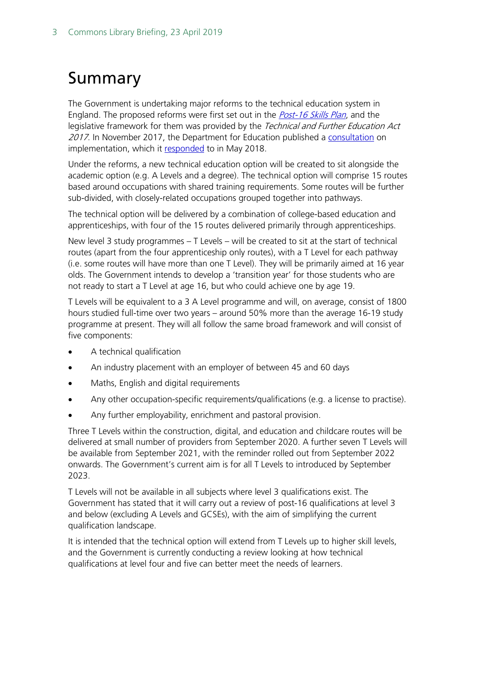# <span id="page-2-0"></span>Summary

The Government is undertaking major reforms to the technical education system in England. The proposed reforms were first set out in the *[Post-16 Skills Plan](https://www.gov.uk/government/uploads/system/uploads/attachment_data/file/536043/Post-16_Skills_Plan.pdf)*, and the legislative framework for them was provided by the Technical and Further Education Act 2017. In November 2017, the Department for Education published a [consultation](https://consult.education.gov.uk/technical-education/implementation-of-t-level-programmes/supporting_documents/T%20level%20consultation.pdf) on implementation, which it [responded](https://assets.publishing.service.gov.uk/government/uploads/system/uploads/attachment_data/file/711472/Implementation_of_T_Level_programmes-Government_consultation_response.pdf) to in May 2018.

Under the reforms, a new technical education option will be created to sit alongside the academic option (e.g. A Levels and a degree). The technical option will comprise 15 routes based around occupations with shared training requirements. Some routes will be further sub-divided, with closely-related occupations grouped together into pathways.

The technical option will be delivered by a combination of college-based education and apprenticeships, with four of the 15 routes delivered primarily through apprenticeships.

New level 3 study programmes – T Levels – will be created to sit at the start of technical routes (apart from the four apprenticeship only routes), with a T Level for each pathway (i.e. some routes will have more than one T Level). They will be primarily aimed at 16 year olds. The Government intends to develop a 'transition year' for those students who are not ready to start a T Level at age 16, but who could achieve one by age 19.

T Levels will be equivalent to a 3 A Level programme and will, on average, consist of 1800 hours studied full-time over two years – around 50% more than the average 16-19 study programme at present. They will all follow the same broad framework and will consist of five components:

- A technical qualification
- An industry placement with an employer of between 45 and 60 days
- Maths, English and digital requirements
- Any other occupation-specific requirements/qualifications (e.g. a license to practise).
- Any further employability, enrichment and pastoral provision.

Three T Levels within the construction, digital, and education and childcare routes will be delivered at small number of providers from September 2020. A further seven T Levels will be available from September 2021, with the reminder rolled out from September 2022 onwards. The Government's current aim is for all T Levels to introduced by September 2023.

T Levels will not be available in all subjects where level 3 qualifications exist. The Government has stated that it will carry out a review of post-16 qualifications at level 3 and below (excluding A Levels and GCSEs), with the aim of simplifying the current qualification landscape.

It is intended that the technical option will extend from T Levels up to higher skill levels, and the Government is currently conducting a review looking at how technical qualifications at level four and five can better meet the needs of learners.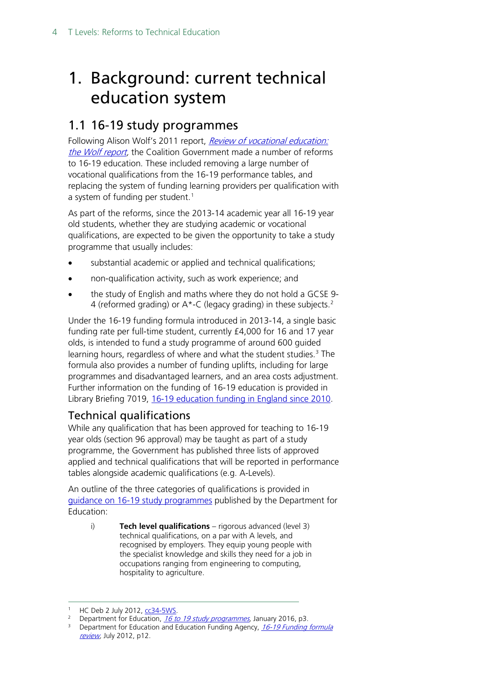# <span id="page-3-0"></span>1. Background: current technical education system

# <span id="page-3-1"></span>1.1 16-19 study programmes

Following Alison Wolf's 2011 report, Review of vocational education: [the Wolf report,](https://www.gov.uk/government/publications/review-of-vocational-education-the-wolf-report) the Coalition Government made a number of reforms to 16-19 education. These included removing a large number of vocational qualifications from the 16-19 performance tables, and replacing the system of funding learning providers per qualification with a system of funding per student.<sup>1</sup>

As part of the reforms, since the 2013-14 academic year all 16-19 year old students, whether they are studying academic or vocational qualifications, are expected to be given the opportunity to take a study programme that usually includes:

- substantial academic or applied and technical qualifications;
- non-qualification activity, such as work experience; and
- the study of English and maths where they do not hold a GCSE 9- 4 (reformed grading) or  $A^*$ -C (legacy grading) in these subjects.<sup>[2](#page-3-3)</sup>

Under the 16-19 funding formula introduced in 2013-14, a single basic funding rate per full-time student, currently £4,000 for 16 and 17 year olds, is intended to fund a study programme of around 600 guided learning hours, regardless of where and what the student studies.<sup>[3](#page-3-4)</sup> The formula also provides a number of funding uplifts, including for large programmes and disadvantaged learners, and an area costs adjustment. Further information on the funding of 16-19 education is provided in Library Briefing 7019, [16-19 education funding in England since 2010.](http://researchbriefings.parliament.uk/ResearchBriefing/Summary/SN07019)

### Technical qualifications

While any qualification that has been approved for teaching to 16-19 year olds (section 96 approval) may be taught as part of a study programme, the Government has published three lists of approved applied and technical qualifications that will be reported in performance tables alongside academic qualifications (e.g. A-Levels).

An outline of the three categories of qualifications is provided in [guidance on 16-19 study programmes](https://assets.publishing.service.gov.uk/government/uploads/system/uploads/attachment_data/file/694413/16_to_19_study_programmes_guidance_updated-March_2018.pdf) published by the Department for Education:

i) **Tech level qualifications** – rigorous advanced (level 3) technical qualifications, on a par with A levels, and recognised by employers. They equip young people with the specialist knowledge and skills they need for a job in occupations ranging from engineering to computing, hospitality to agriculture.

HC Deb 2 July 2012, [cc34-5WS.](https://www.publications.parliament.uk/pa/cm201213/cmhansrd/cm120702/wmstext/120702m0001.htm#1207026000013)

<span id="page-3-3"></span><span id="page-3-2"></span><sup>&</sup>lt;sup>2</sup> Department for Education, [16 to 19 study programmes,](https://www.gov.uk/government/uploads/system/uploads/attachment_data/file/493452/16_to_19_study_programmes_departmental_advice_Jan_2016_update.pdf) January 2016, p3.

<span id="page-3-4"></span><sup>&</sup>lt;sup>3</sup> Department for Education and Education Funding Agency, 16-19 Funding formula [review,](http://media.education.gov.uk/assets/files/pdf/1/16-19%20funding%20policy%20document_001.pdf) July 2012, p12.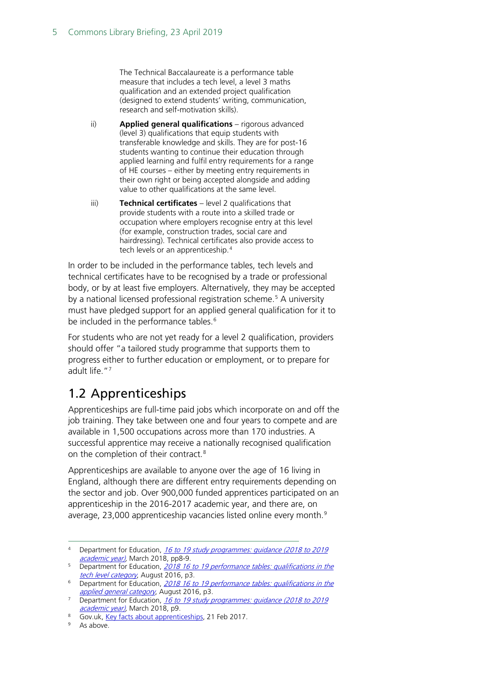The Technical Baccalaureate is a performance table measure that includes a tech level, a level 3 maths qualification and an extended project qualification (designed to extend students' writing, communication, research and self-motivation skills).

- ii) **Applied general qualifications** rigorous advanced (level 3) qualifications that equip students with transferable knowledge and skills. They are for post-16 students wanting to continue their education through applied learning and fulfil entry requirements for a range of HE courses – either by meeting entry requirements in their own right or being accepted alongside and adding value to other qualifications at the same level.
- iii) **Technical certificates** level 2 qualifications that provide students with a route into a skilled trade or occupation where employers recognise entry at this level (for example, construction trades, social care and hairdressing). Technical certificates also provide access to tech levels or an apprenticeship.<sup>[4](#page-4-1)</sup>

In order to be included in the performance tables, tech levels and technical certificates have to be recognised by a trade or professional body, or by at least five employers. Alternatively, they may be accepted by a national licensed professional registration scheme.<sup>5</sup> A university must have pledged support for an applied general qualification for it to be included in the performance tables.<sup>[6](#page-4-3)</sup>

For students who are not yet ready for a level 2 qualification, providers should offer "a tailored study programme that supports them to progress either to further education or employment, or to prepare for adult life."[7](#page-4-4)

# <span id="page-4-0"></span>1.2 Apprenticeships

Apprenticeships are full-time paid jobs which incorporate on and off the job training. They take between one and four years to compete and are available in 1,500 occupations across more than 170 industries. A successful apprentice may receive a nationally recognised qualification on the completion of their contract.<sup>[8](#page-4-5)</sup>

Apprenticeships are available to anyone over the age of 16 living in England, although there are different entry requirements depending on the sector and job. Over 900,000 funded apprentices participated on an apprenticeship in the 2016-2017 academic year, and there are, on average, 23,000 apprenticeship vacancies listed online every month.<sup>[9](#page-4-6)</sup>

<span id="page-4-1"></span><sup>4</sup> Department for Education, 16 to 19 study programmes: guidance (2018 to 2019) [academic year\),](https://assets.publishing.service.gov.uk/government/uploads/system/uploads/attachment_data/file/694413/16_to_19_study_programmes_guidance_updated-March_2018.pdf) March 2018, pp8-9.

<span id="page-4-2"></span><sup>&</sup>lt;sup>5</sup> Department for Education, 2018 16 to 19 performance tables: qualifications in the [tech level category](https://assets.publishing.service.gov.uk/government/uploads/system/uploads/attachment_data/file/543277/16-19_Tech_Levels_2018.pdf), August 2016, p3.

<span id="page-4-3"></span><sup>&</sup>lt;sup>6</sup> Department for Education, 2018 16 to 19 performance tables: qualifications in the [applied general category](https://assets.publishing.service.gov.uk/government/uploads/system/uploads/attachment_data/file/543278/16-19_Applied_General_Qualifications_2018.pdf), August 2016, p3.

<span id="page-4-4"></span><sup>&</sup>lt;sup>7</sup> Department for Education, 16 to 19 study programmes: guidance (2018 to 2019 [academic year\),](https://assets.publishing.service.gov.uk/government/uploads/system/uploads/attachment_data/file/694413/16_to_19_study_programmes_guidance_updated-March_2018.pdf) March 2018, p9.

<span id="page-4-6"></span><span id="page-4-5"></span><sup>8</sup> Gov.uk, [Key facts about apprenticeships,](https://www.gov.uk/government/publications/key-facts-about-apprenticeships/key-facts-about-apprenticeships) 21 Feb 2017.

As above.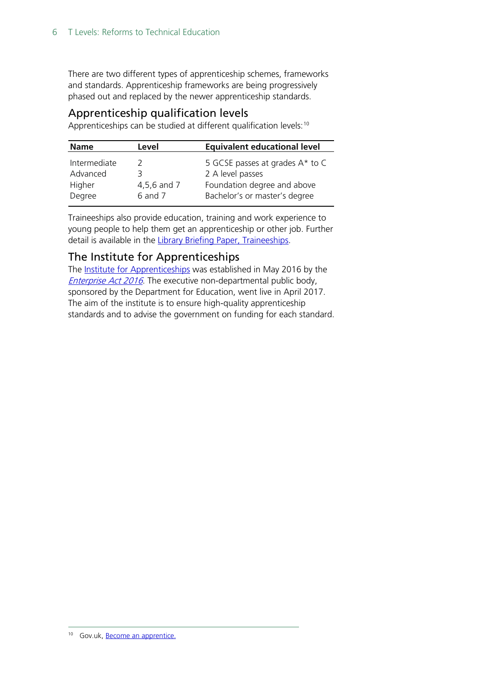There are two different types of apprenticeship schemes, frameworks and standards. Apprenticeship frameworks are being progressively phased out and replaced by the newer apprenticeship standards.

#### Apprenticeship qualification levels

Apprenticeships can be studied at different qualification levels:<sup>[10](#page-5-0)</sup>

| Level<br><b>Name</b>                              |                        | <b>Equivalent educational level</b>                                                                                 |
|---------------------------------------------------|------------------------|---------------------------------------------------------------------------------------------------------------------|
| Intermediate<br>Advanced<br>3<br>Higher<br>Degree | 4,5,6 and 7<br>6 and 7 | 5 GCSE passes at grades A* to C<br>2 A level passes<br>Foundation degree and above<br>Bachelor's or master's degree |

Traineeships also provide education, training and work experience to young people to help them get an apprenticeship or other job. Further detail is available in the Library [Briefing Paper, Traineeships.](http://researchbriefings.parliament.uk/ResearchBriefing/Summary/CBP-7305)

#### The Institute for Apprenticeships

The [Institute for Apprenticeships](https://www.gov.uk/government/organisations/institute-for-apprenticeships) was established in May 2016 by the **[Enterprise Act 2016](http://www.legislation.gov.uk/ukpga/2016/12/contents/enacted)**. The executive non-departmental public body, sponsored by the Department for Education, went live in April 2017. The aim of the institute is to ensure high-quality apprenticeship standards and to advise the government on funding for each standard.

<span id="page-5-0"></span><sup>&</sup>lt;sup>10</sup> Gov.uk, **Become an apprentice**.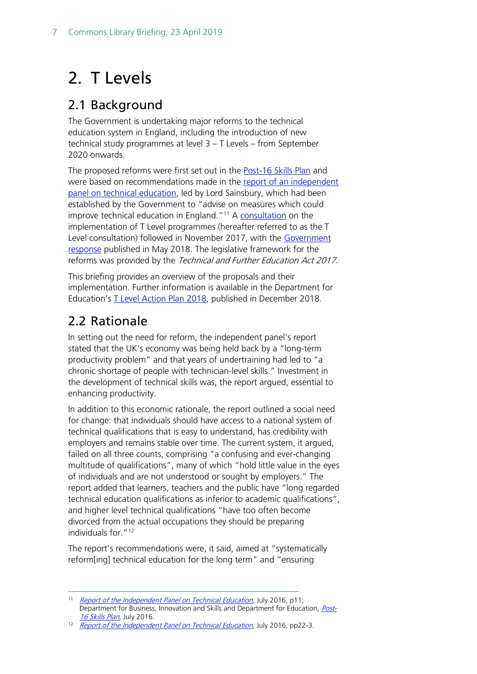# <span id="page-6-0"></span>2. T Levels

# <span id="page-6-1"></span>2.1 Background

The Government is undertaking major reforms to the technical education system in England, including the introduction of new technical study programmes at level 3 – T Levels – from September 2020 onwards.

The proposed reforms were first set out in the **Post-16 Skills Plan** and were based on recommendations made in the [report of an independent](https://www.gov.uk/government/uploads/system/uploads/attachment_data/file/536046/Report_of_the_Independent_Panel_on_Technical_Education.pdf)  panel [on technical education,](https://www.gov.uk/government/uploads/system/uploads/attachment_data/file/536046/Report_of_the_Independent_Panel_on_Technical_Education.pdf) led by Lord Sainsbury, which had been established by the Government to "advise on measures which could improve technical education in England."<sup>[11](#page-6-3)</sup> A [consultation](https://consult.education.gov.uk/technical-education/implementation-of-t-level-programmes/supporting_documents/T%20level%20consultation.pdf) on the implementation of T Level programmes (hereafter referred to as the T Level consultation) followed in November 2017, with the Government [response](https://assets.publishing.service.gov.uk/government/uploads/system/uploads/attachment_data/file/711472/Implementation_of_T_Level_programmes-Government_consultation_response.pdf) published in May 2018. The legislative framework for the reforms was provided by the Technical and Further Education Act 2017.

This briefing provides an overview of the proposals and their implementation. Further information is available in the Department for Education's [T Level Action Plan 2018,](https://assets.publishing.service.gov.uk/government/uploads/system/uploads/attachment_data/file/762137/T_Level_action_plan_2018.pdf) published in December 2018.

# <span id="page-6-2"></span>2.2 Rationale

In setting out the need for reform, the independent panel's report stated that the UK's economy was being held back by a "long-term productivity problem" and that years of undertraining had led to "a chronic shortage of people with technician-level skills." Investment in the development of technical skills was, the report argued, essential to enhancing productivity.

In addition to this economic rationale, the report outlined a social need for change: that individuals should have access to a national system of technical qualifications that is easy to understand, has credibility with employers and remains stable over time. The current system, it argued, failed on all three counts, comprising "a confusing and ever-changing multitude of qualifications", many of which "hold little value in the eyes of individuals and are not understood or sought by employers." The report added that learners, teachers and the public have "long regarded technical education qualifications as inferior to academic qualifications", and higher level technical qualifications "have too often become divorced from the actual occupations they should be preparing individuals for."<sup>[12](#page-6-4)</sup>

The report's recommendations were, it said, aimed at "systematically reform[ing] technical education for the long term" and "ensuring

<span id="page-6-3"></span><sup>&</sup>lt;sup>11</sup> Report of [the Independent Panel on Technical Education,](https://www.gov.uk/government/uploads/system/uploads/attachment_data/file/536046/Report_of_the_Independent_Panel_on_Technical_Education.pdf) July 2016, p11; Department for Business, Innovation and Skills and Department for Education, [Post-](https://www.gov.uk/government/uploads/system/uploads/attachment_data/file/536043/Post-16_Skills_Plan.pdf)16 Skills Plan, July 2016.<br><sup>12</sup> [Report of the Independent Panel on Technical Education,](https://www.gov.uk/government/uploads/system/uploads/attachment_data/file/536046/Report_of_the_Independent_Panel_on_Technical_Education.pdf) July 2016, pp22-3.

<span id="page-6-4"></span>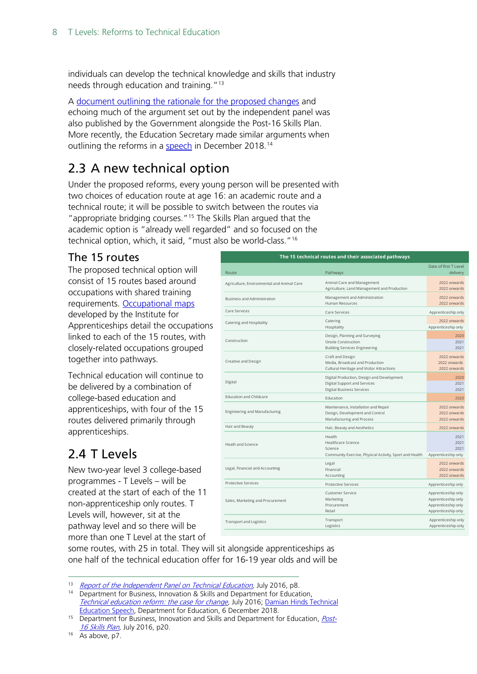individuals can develop the technical knowledge and skills that industry needs through education and training."[13](#page-7-3)

A [document outlining the rationale for the proposed changes](https://www.gov.uk/government/uploads/system/uploads/attachment_data/file/536048/Technical_Education_Reform_-_Case_For_Change.pdf) and echoing much of the argument set out by the independent panel was also published by the Government alongside the Post-16 Skills Plan. More recently, the Education Secretary made similar arguments when outlining the reforms in a [speech](https://www.gov.uk/government/speeches/damian-hinds-technical-education-speech) in December 2018.<sup>[14](#page-7-4)</sup>

# <span id="page-7-0"></span>2.3 A new technical option

Under the proposed reforms, every young person will be presented with two choices of education route at age 16: an academic route and a technical route; it will be possible to switch between the routes via "appropriate bridging courses."[15](#page-7-5) The Skills Plan argued that the academic option is "already well regarded" and so focused on the technical option, which, it said, "must also be world-class."[16](#page-7-6)

#### <span id="page-7-1"></span>The 15 routes

The proposed technical option will consist of 15 routes based around occupations with shared training requirements. [Occupational maps](https://www.instituteforapprenticeships.org/about/occupational-maps/) developed by the Institute for Apprenticeships detail the occupations linked to each of the 15 routes, with closely-related occupations grouped together into pathways.

Technical education will continue to be delivered by a combination of college-based education and apprenticeships, with four of the 15 routes delivered primarily through apprenticeships.

# <span id="page-7-2"></span>2.4 T Levels

New two-year level 3 college-based programmes - T Levels – will be created at the start of each of the 11 non-apprenticeship only routes. T Levels will, however, sit at the pathway level and so there will be more than one T Level at the start of

| The 15 technical routes and their associated pathways |                                                                                                                |                                                                                          |  |  |  |
|-------------------------------------------------------|----------------------------------------------------------------------------------------------------------------|------------------------------------------------------------------------------------------|--|--|--|
| Route                                                 | Pathways                                                                                                       | Date of first T Level<br>delivery                                                        |  |  |  |
| Agriculture, Environmental and Animal Care            | Animal Care and Management<br>Agriculture, Land Management and Production                                      | 2022 onwards<br>2022 onwards                                                             |  |  |  |
| <b>Business and Administration</b>                    | Management and Administration<br>Human Resources                                                               | 2022 onwards<br>2022 onwards                                                             |  |  |  |
| Care Services                                         | Care Services                                                                                                  | Apprenticeship only                                                                      |  |  |  |
| Catering and Hospitality                              | Catering<br>Hospitality                                                                                        | 2022 onwards<br>Apprenticeship only                                                      |  |  |  |
| Construction                                          | Design, Planning and Surveying<br><b>Onsite Construction</b><br><b>Building Services Engineering</b>           | 2020<br>2021<br>2021                                                                     |  |  |  |
| Creative and Design                                   | Craft and Design<br>Media, Broadcast and Production<br>Cultural Heritage and Visitor Attractions               | 2022 onwards<br>2022 onwards<br>2022 onwards                                             |  |  |  |
| Digital                                               | Digital Production, Design and Development<br>Digital Support and Services<br><b>Digital Business Services</b> | 2020<br>2021<br>2021                                                                     |  |  |  |
| <b>Education and Childcare</b>                        | Education                                                                                                      | 2020                                                                                     |  |  |  |
| <b>Engineering and Manufacturing</b>                  | Maintenance, Installation and Repair<br>Design, Development and Control<br>Manufacturing and Process           | 2022 onwards<br>2022 onwards<br>2022 onwards                                             |  |  |  |
| Hair and Beauty                                       | Hair, Beauty and Aesthetics                                                                                    | 2022 onwards                                                                             |  |  |  |
| Heath and Science                                     | Health<br>Healthcare Science<br>Science<br>Community Exercise, Physical Activity, Sport and Health             | 2021<br>2021<br>2021<br>Apprenticeship only                                              |  |  |  |
| Legal, Financial and Accounting                       | Legal<br>Financial<br>Accounting                                                                               | 2022 onwards<br>2022 onwards<br>2022 onwards                                             |  |  |  |
| <b>Protective Services</b>                            | <b>Protective Services</b>                                                                                     | Apprenticeship only                                                                      |  |  |  |
| Sales, Marketing and Procurement                      | <b>Customer Service</b><br>Marketing<br>Procurement<br>Retail                                                  | Apprenticeship only<br>Apprenticeship only<br>Apprenticeship only<br>Apprenticeship only |  |  |  |
| <b>Transport and Logistics</b>                        | Transport<br>Logistics                                                                                         | Apprenticeship only<br>Apprenticeship only                                               |  |  |  |

some routes, with 25 in total. They will sit alongside apprenticeships as one half of the technical education offer for 16-19 year olds and will be

```
<sup>16</sup> As above, p7.
```
<span id="page-7-3"></span><sup>&</sup>lt;sup>13</sup> [Report of the Independent Panel on Technical Education,](https://www.gov.uk/government/uploads/system/uploads/attachment_data/file/536046/Report_of_the_Independent_Panel_on_Technical_Education.pdf) July 2016, p8.

<span id="page-7-4"></span><sup>&</sup>lt;sup>14</sup> Department for Business, Innovation & Skills and Department for Education, [Technical education reform: the case for change,](https://assets.publishing.service.gov.uk/government/uploads/system/uploads/attachment_data/file/536048/Technical_Education_Reform_-_Case_For_Change.pdf) July 2016; [Damian Hinds Technical](https://www.gov.uk/government/speeches/damian-hinds-technical-education-speech)  [Education Speech,](https://www.gov.uk/government/speeches/damian-hinds-technical-education-speech) Department for Education, 6 December 2018.

<span id="page-7-5"></span><sup>&</sup>lt;sup>15</sup> Department for Business, Innovation and Skills and Department for Education, *[Post-](https://www.gov.uk/government/uploads/system/uploads/attachment_data/file/536043/Post-16_Skills_Plan.pdf)*[16 Skills Plan,](https://www.gov.uk/government/uploads/system/uploads/attachment_data/file/536043/Post-16_Skills_Plan.pdf) July 2016, p20.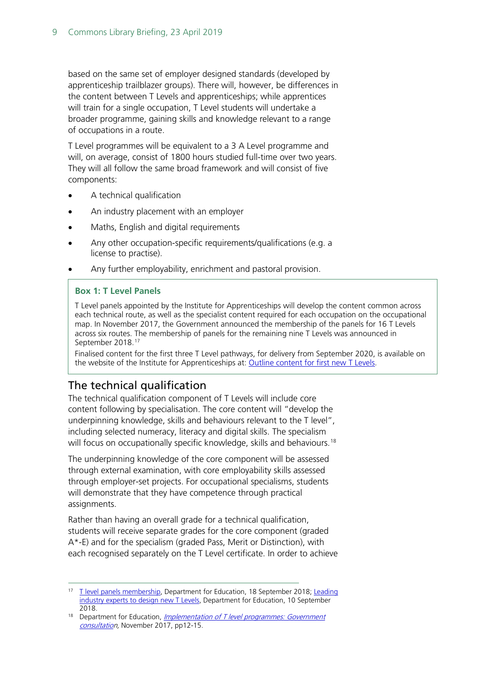based on the same set of employer designed standards (developed by apprenticeship trailblazer groups). There will, however, be differences in the content between T Levels and apprenticeships; while apprentices will train for a single occupation, T Level students will undertake a broader programme, gaining skills and knowledge relevant to a range of occupations in a route.

T Level programmes will be equivalent to a 3 A Level programme and will, on average, consist of 1800 hours studied full-time over two years. They will all follow the same broad framework and will consist of five components:

- A technical qualification
- An industry placement with an employer
- Maths, English and digital requirements
- Any other occupation-specific requirements/qualifications (e.g. a license to practise).
- Any further employability, enrichment and pastoral provision.

#### **Box 1: T Level Panels**

T Level panels appointed by the Institute for Apprenticeships will develop the content common across each technical route, as well as the specialist content required for each occupation on the occupational map. In November 2017, the Government announced the membership of the panels for 16 T Levels across six routes. The membership of panels for the remaining nine T Levels was announced in September 2018.<sup>[17](#page-8-1)</sup>

Finalised content for the first three T Level pathways, for delivery from September 2020, is available on the website of the Institute for Apprenticeships at: [Outline content for first new T Levels.](https://www.instituteforapprenticeships.org/about/outline-content-for-first-new-t-levels/)

### <span id="page-8-0"></span>The technical qualification

The technical qualification component of T Levels will include core content following by specialisation. The core content will "develop the underpinning knowledge, skills and behaviours relevant to the T level", including selected numeracy, literacy and digital skills. The specialism will focus on occupationally specific knowledge, skills and behaviours.<sup>[18](#page-8-2)</sup>

The underpinning knowledge of the core component will be assessed through external examination, with core employability skills assessed through employer-set projects. For occupational specialisms, students will demonstrate that they have competence through practical assignments.

Rather than having an overall grade for a technical qualification, students will receive separate grades for the core component (graded A\*-E) and for the specialism (graded Pass, Merit or Distinction), with each recognised separately on the T Level certificate. In order to achieve

<span id="page-8-1"></span><sup>&</sup>lt;sup>17</sup> [T level panels membership,](https://www.gov.uk/government/publications/t-level-panels-membership) Department for Education, 18 September 2018; Leading [industry experts to design new T Levels,](https://www.gov.uk/government/news/leading-industry-experts-to-design-new-t-levels) Department for Education, 10 September 2018.

<span id="page-8-2"></span><sup>&</sup>lt;sup>18</sup> Department for Education, *Implementation of T level programmes: Government* [consultation](https://consult.education.gov.uk/technical-education/implementation-of-t-level-programmes/supporting_documents/T%20level%20consultation.pdf), November 2017, pp12-15.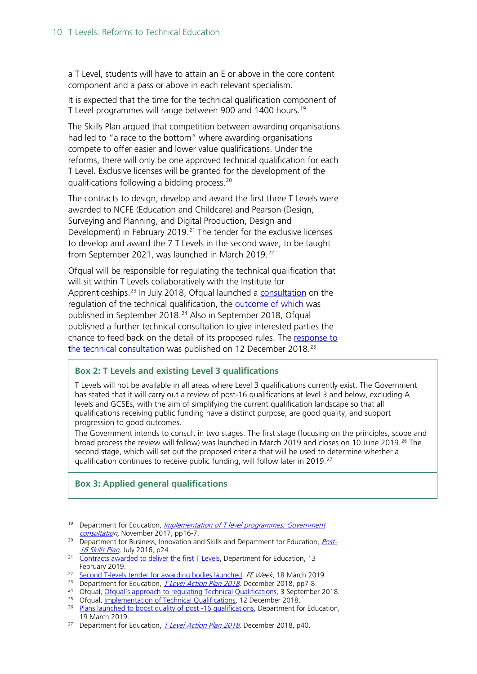a T Level, students will have to attain an E or above in the core content component and a pass or above in each relevant specialism.

It is expected that the time for the technical qualification component of T Level programmes will range between 900 and 1400 hours.<sup>[19](#page-9-0)</sup>

The Skills Plan argued that competition between awarding organisations had led to "a race to the bottom" where awarding organisations compete to offer easier and lower value qualifications. Under the reforms, there will only be one approved technical qualification for each T Level. Exclusive licenses will be granted for the development of the qualifications following a bidding process.[20](#page-9-1)

The contracts to design, develop and award the first three T Levels were awarded to NCFE (Education and Childcare) and Pearson (Design, Surveying and Planning, and Digital Production, Design and Development) in February 2019.<sup>[21](#page-9-2)</sup> The tender for the exclusive licenses to develop and award the 7 T Levels in the second wave, to be taught from September 2021, was launched in March 2019.<sup>[22](#page-9-3)</sup>

Ofqual will be responsible for regulating the technical qualification that will sit within T Levels collaboratively with the Institute for Apprenticeships.<sup>[23](#page-9-4)</sup> In July 2018, Ofqual launched a [consultation](https://www.gov.uk/government/news/consultation-on-approach-to-regulating-technical-qualifications?utm_source=7cc9a040-a312-4cae-a443-ae3a4a511510&utm_medium=email&utm_campaign=govuk-notifications&utm_content=immediate) on the regulation of the technical qualification, the [outcome of which](https://www.gov.uk/government/news/implementing-our-approach-to-regulating-technical-qualifications) was published in September 2018. [24](#page-9-5) Also in September 2018, Ofqual published a further technical consultation to give interested parties the chance to feed back on the detail of its proposed rules. The [response to](https://www.gov.uk/government/consultations/implementation-of-technical-qualifications)  [the technical consultation](https://www.gov.uk/government/consultations/implementation-of-technical-qualifications) was published on 12 December 2018.<sup>[25](#page-9-6)</sup>

#### **Box 2: T Levels and existing Level 3 qualifications**

T Levels will not be available in all areas where Level 3 qualifications currently exist. The Government has stated that it will carry out a review of post-16 qualifications at level 3 and below, excluding A levels and GCSEs, with the aim of simplifying the current qualification landscape so that all qualifications receiving public funding have a distinct purpose, are good quality, and support progression to good outcomes.

The Government intends to consult in two stages. The first stage (focusing on the principles, scope and broad process the review will follow) was launched in March 2019 and closes on 10 June 2019.<sup>[26](#page-9-7)</sup> The second stage, which will set out the proposed criteria that will be used to determine whether a qualification continues to receive public funding, will follow later in 2019.[27](#page-9-8)

#### **Box 3: Applied general qualifications**

- <span id="page-9-0"></span><sup>19</sup> Department for Education, *Implementation of T level programmes: Government* [consultation](https://consult.education.gov.uk/technical-education/implementation-of-t-level-programmes/supporting_documents/T%20level%20consultation.pdf), November 2017, pp16-7.
- <span id="page-9-1"></span><sup>20</sup> Department for Business, Innovation and Skills and Department for Education, *[Post-](https://www.gov.uk/government/uploads/system/uploads/attachment_data/file/536043/Post-16_Skills_Plan.pdf)*[16 Skills Plan,](https://www.gov.uk/government/uploads/system/uploads/attachment_data/file/536043/Post-16_Skills_Plan.pdf) July 2016, p24.
- <span id="page-9-2"></span><sup>21</sup> [Contracts awarded to deliver the first T Levels,](https://www.gov.uk/government/news/contracts-awarded-to-deliver-the-first-t-levels) Department for Education, 13 February 2019.

<span id="page-9-3"></span><sup>&</sup>lt;sup>22</sup> [Second T-levels tender for awarding bodies launched,](https://feweek.co.uk/2019/03/18/second-t-levels-tender-for-awarding-bodies-launched/) FE Week, 18 March 2019.

<span id="page-9-4"></span><sup>&</sup>lt;sup>23</sup> Department for Education, *T Level Action Plan 2018*, December 2018, pp7-8.

<span id="page-9-5"></span><sup>&</sup>lt;sup>24</sup> Ofqual, [Ofqual's approach to regulating Technical Qualifications,](https://www.gov.uk/government/consultations/ofquals-approach-to-regulating-technical-qualifications) 3 September 2018.<br><sup>25</sup> Ofgual, Implementation of Technical Qualifications, 12 December 2018.

<span id="page-9-6"></span>

<span id="page-9-7"></span><sup>&</sup>lt;sup>26</sup> [Plans launched to boost quality of post -16 qualifications,](https://www.gov.uk/government/news/plans-launched-to-boost-quality-of-post-16-qualifications--2) Department for Education, 19 March 2019.

<span id="page-9-8"></span><sup>&</sup>lt;sup>27</sup> Department for Education, *T Level Action Plan 2018*, December 2018, p40.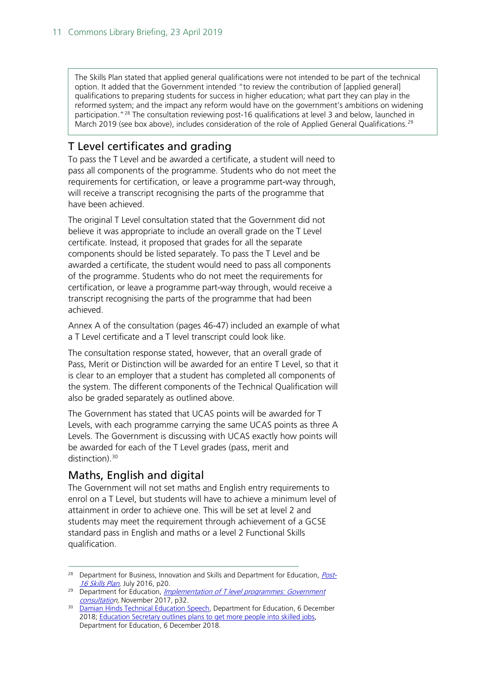The Skills Plan stated that applied general qualifications were not intended to be part of the technical option. It added that the Government intended "to review the contribution of [applied general] qualifications to preparing students for success in higher education; what part they can play in the reformed system; and the impact any reform would have on the government's ambitions on widening participation."[28](#page-10-1) The consultation reviewing post-16 qualifications at level 3 and below, launched in March 2019 (see box above), includes consideration of the role of Applied General Qualifications.<sup>[29](#page-10-2)</sup>

## <span id="page-10-0"></span>T Level certificates and grading

To pass the T Level and be awarded a certificate, a student will need to pass all components of the programme. Students who do not meet the requirements for certification, or leave a programme part-way through, will receive a transcript recognising the parts of the programme that have been achieved.

The original T Level consultation stated that the Government did not believe it was appropriate to include an overall grade on the T Level certificate. Instead, it proposed that grades for all the separate components should be listed separately. To pass the T Level and be awarded a certificate, the student would need to pass all components of the programme. Students who do not meet the requirements for certification, or leave a programme part-way through, would receive a transcript recognising the parts of the programme that had been achieved.

Annex A of the consultation (pages 46-47) included an example of what a T Level certificate and a T level transcript could look like.

The consultation response stated, however, that an overall grade of Pass, Merit or Distinction will be awarded for an entire T Level, so that it is clear to an employer that a student has completed all components of the system. The different components of the Technical Qualification will also be graded separately as outlined above.

The Government has stated that UCAS points will be awarded for T Levels, with each programme carrying the same UCAS points as three A Levels. The Government is discussing with UCAS exactly how points will be awarded for each of the T Level grades (pass, merit and distinction).<sup>[30](#page-10-3)</sup>

#### Maths, English and digital

The Government will not set maths and English entry requirements to enrol on a T Level, but students will have to achieve a minimum level of attainment in order to achieve one. This will be set at level 2 and students may meet the requirement through achievement of a GCSE standard pass in English and maths or a level 2 Functional Skills qualification.

<span id="page-10-1"></span><sup>&</sup>lt;sup>28</sup> Department for Business, Innovation and Skills and Department for Education, *[Post-](https://www.gov.uk/government/uploads/system/uploads/attachment_data/file/536043/Post-16_Skills_Plan.pdf)*[16 Skills Plan,](https://www.gov.uk/government/uploads/system/uploads/attachment_data/file/536043/Post-16_Skills_Plan.pdf) July 2016, p20.

<span id="page-10-2"></span><sup>&</sup>lt;sup>29</sup> Department for Education, *Implementation of T level programmes: Government* [consultation](https://consult.education.gov.uk/technical-education/implementation-of-t-level-programmes/supporting_documents/T%20level%20consultation.pdf), November 2017, p32.

<span id="page-10-3"></span><sup>&</sup>lt;sup>30</sup> [Damian Hinds Technical Education Speech,](https://www.gov.uk/government/speeches/damian-hinds-technical-education-speech) Department for Education, 6 December 2018; [Education Secretary outlines plans to get more people into skilled jobs,](https://www.gov.uk/government/news/education-secretary-outlines-plans-to-get-more-people-into-skilled-jobs) Department for Education, 6 December 2018.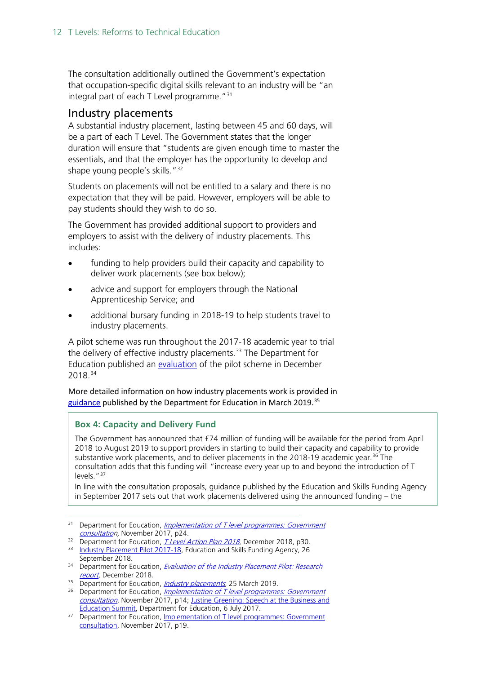The consultation additionally outlined the Government's expectation that occupation-specific digital skills relevant to an industry will be "an integral part of each T Level programme."[31](#page-11-0)

#### Industry placements

A substantial industry placement, lasting between 45 and 60 days, will be a part of each T Level. The Government states that the longer duration will ensure that "students are given enough time to master the essentials, and that the employer has the opportunity to develop and shape young people's skills."<sup>[32](#page-11-1)</sup>

Students on placements will not be entitled to a salary and there is no expectation that they will be paid. However, employers will be able to pay students should they wish to do so.

The Government has provided additional support to providers and employers to assist with the delivery of industry placements. This includes:

- funding to help providers build their capacity and capability to deliver work placements (see box below);
- advice and support for employers through the National Apprenticeship Service; and
- additional bursary funding in 2018-19 to help students travel to industry placements.

A pilot scheme was run throughout the 2017-18 academic year to trial the delivery of effective industry placements.<sup>[33](#page-11-2)</sup> The Department for Education published an [evaluation](https://assets.publishing.service.gov.uk/government/uploads/system/uploads/attachment_data/file/762138/Evaluation_of_the_Industry_Placements_Pilot_-_Research_report_Dec2018.pdf) of the pilot scheme in December 2018.[34](#page-11-3)

More detailed information on how industry placements work is provided in [guidance](https://www.gov.uk/guidance/industry-placements) published by the Department for Education in March 2019.<sup>[35](#page-11-4)</sup>

#### **Box 4: Capacity and Delivery Fund**

The Government has announced that £74 million of funding will be available for the period from April 2018 to August 2019 to support providers in starting to build their capacity and capability to provide substantive work placements, and to deliver placements in the 2018-19 academic year.<sup>[36](#page-11-5)</sup> The consultation adds that this funding will "increase every year up to and beyond the introduction of T levels."<sup>[37](#page-11-6)</sup>

In line with the consultation proposals, guidance published by the Education and Skills Funding Agency in September 2017 sets out that work placements delivered using the announced funding – the

- <span id="page-11-0"></span><sup>31</sup> Department for Education, *Implementation of T level programmes: Government* [consultation](https://consult.education.gov.uk/technical-education/implementation-of-t-level-programmes/supporting_documents/T%20level%20consultation.pdf), November 2017, p24.
- <sup>32</sup> Department for Education, *T Level Action Plan 2018*, December 2018, p30.
- <span id="page-11-2"></span><span id="page-11-1"></span><sup>33</sup> [Industry Placement Pilot 2017-18,](https://www.gov.uk/guidance/work-placement-capacity-and-delivery-fund-principles-for-high-quality-work-placements#industry-placement-pilot-2017-to-2018) Education and Skills Funding Agency, 26 September 2018.
- <span id="page-11-3"></span><sup>34</sup> Department for Education, *Evaluation of the Industry Placement Pilot: Research*
- <span id="page-11-4"></span>[report,](https://assets.publishing.service.gov.uk/government/uploads/system/uploads/attachment_data/file/762138/Evaluation_of_the_Industry_Placements_Pilot_-_Research_report_Dec2018.pdf) December 2018.<br>
<sup>35</sup> Department for Education, *Industry placements*, 25 March 2019.
- <span id="page-11-5"></span><sup>36</sup> Department for Education[,](https://www.gov.uk/guidance/industry-placements) *[Implementation of T level programmes: Government](https://consult.education.gov.uk/technical-education/implementation-of-t-level-programmes/supporting_documents/T%20level%20consultation.pdf)* [consultation](https://consult.education.gov.uk/technical-education/implementation-of-t-level-programmes/supporting_documents/T%20level%20consultation.pdf), November 2017, p14; [Justine Greening: Speech at the Business and](https://www.gov.uk/government/speeches/justine-greening-speech-at-the-business-and-education-summit) [Education Summit,](https://www.gov.uk/government/speeches/justine-greening-speech-at-the-business-and-education-summit) Department for Education, 6 July 2017.
- <span id="page-11-6"></span><sup>37</sup> Department for Education, [Implementation of T level programmes: Government](https://consult.education.gov.uk/technical-education/implementation-of-t-level-programmes/supporting_documents/T%20level%20consultation.pdf) [consultation,](https://consult.education.gov.uk/technical-education/implementation-of-t-level-programmes/supporting_documents/T%20level%20consultation.pdf) November 2017, p19.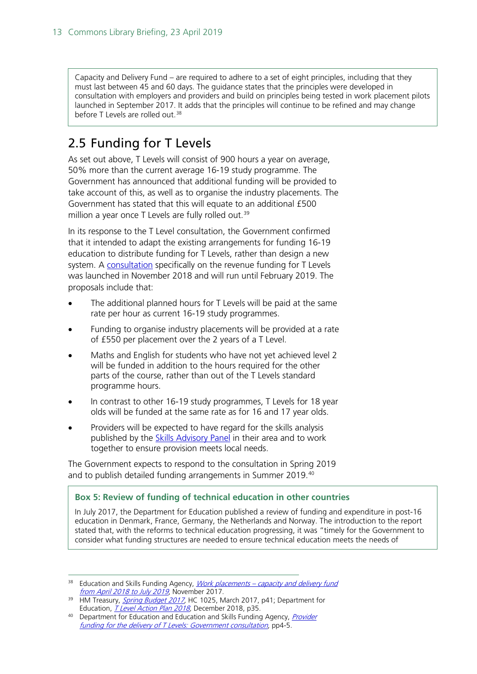Capacity and Delivery Fund – are required to adhere to a set of eight principles, including that they must last between 45 and 60 days. The guidance states that the principles were developed in consultation with employers and providers and build on principles being tested in work placement pilots launched in September 2017. It adds that the principles will continue to be refined and may change before T Levels are rolled out. [38](#page-12-1)

# <span id="page-12-0"></span>2.5 Funding for T Levels

As set out above, T Levels will consist of 900 hours a year on average, 50% more than the current average 16-19 study programme. The Government has announced that additional funding will be provided to take account of this, as well as to organise the industry placements. The Government has stated that this will equate to an additional £500 million a year once T Levels are fully rolled out.<sup>[39](#page-12-2)</sup>

In its response to the T Level consultation, the Government confirmed that it intended to adapt the existing arrangements for funding 16-19 education to distribute funding for T Levels, rather than design a new system. A [consultation](https://www.gov.uk/government/consultations/funding-for-the-delivery-of-t-levels) specifically on the revenue funding for T Levels was launched in November 2018 and will run until February 2019. The proposals include that:

- The additional planned hours for T Levels will be paid at the same rate per hour as current 16-19 study programmes.
- Funding to organise industry placements will be provided at a rate of £550 per placement over the 2 years of a T Level.
- Maths and English for students who have not yet achieved level 2 will be funded in addition to the hours required for the other parts of the course, rather than out of the T Levels standard programme hours.
- In contrast to other 16-19 study programmes, T Levels for 18 year olds will be funded at the same rate as for 16 and 17 year olds.
- Providers will be expected to have regard for the skills analysis published by the [Skills Advisory Panel](https://www.gov.uk/government/publications/skills-advisory-panels-saps-role-and-governance) in their area and to work together to ensure provision meets local needs.

The Government expects to respond to the consultation in Spring 2019 and to publish detailed funding arrangements in Summer 2019.<sup>[40](#page-12-3)</sup>

#### **Box 5: Review of funding of technical education in other countries**

In July 2017, the Department for Education published a review of funding and expenditure in post-16 education in Denmark, France, Germany, the Netherlands and Norway. The introduction to the report stated that, with the reforms to technical education progressing, it was "timely for the Government to consider what funding structures are needed to ensure technical education meets the needs of

<span id="page-12-1"></span><sup>&</sup>lt;sup>38</sup> Education and Skills Funding Agency, *Work placements – capacity and delivery fund* [from April 2018 to July 2019](https://www.gov.uk/guidance/work-placements-capacity-and-delivery-fund-from-april-2018-to-july-2019), November 2017.

<span id="page-12-2"></span><sup>&</sup>lt;sup>39</sup> HM Treasury, *Spring Budget 2017*, HC 1025, March 2017, p41; Department for Education, *T Level Action Plan 2018*, December 2018, p35.<br><sup>40</sup> Department for Education and Education and Skills Funding Agency, *Provider* 

<span id="page-12-3"></span>[funding for the delivery of T Levels: Government consultation](https://consult.education.gov.uk/fe-funding/t-level-funding-methodology/supporting_documents/T%20Levels%20funding%20consultation.pdf%5d), pp4-5.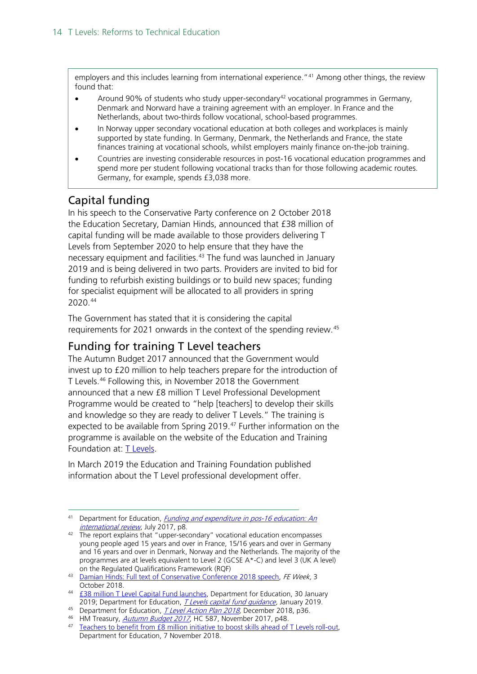employers and this includes learning from international experience."<sup>[41](#page-13-2)</sup> Among other things, the review found that:

- Around 90% of students who study upper-secondary<sup>[42](#page-13-3)</sup> vocational programmes in Germany, Denmark and Norward have a training agreement with an employer. In France and the Netherlands, about two-thirds follow vocational, school-based programmes.
- In Norway upper secondary vocational education at both colleges and workplaces is mainly supported by state funding. In Germany, Denmark, the Netherlands and France, the state finances training at vocational schools, whilst employers mainly finance on-the-job training.
- Countries are investing considerable resources in post-16 vocational education programmes and spend more per student following vocational tracks than for those following academic routes. Germany, for example, spends £3,038 more.

#### <span id="page-13-0"></span>Capital funding

In his speech to the Conservative Party conference on 2 October 2018 the Education Secretary, Damian Hinds, announced that £38 million of capital funding will be made available to those providers delivering T Levels from September 2020 to help ensure that they have the necessary equipment and facilities.<sup>[43](#page-13-4)</sup> The fund was launched in January 2019 and is being delivered in two parts. Providers are invited to bid for funding to refurbish existing buildings or to build new spaces; funding for specialist equipment will be allocated to all providers in spring 2020.[44](#page-13-5)

The Government has stated that it is considering the capital requirements for 2021 onwards in the context of the spending review.[45](#page-13-6)

#### <span id="page-13-1"></span>Funding for training T Level teachers

The Autumn Budget 2017 announced that the Government would invest up to £20 million to help teachers prepare for the introduction of T Levels.[46](#page-13-7) Following this, in November 2018 the Government announced that a new £8 million T Level Professional Development Programme would be created to "help [teachers] to develop their skills and knowledge so they are ready to deliver T Levels." The training is expected to be available from Spring 2019.<sup>[47](#page-13-8)</sup> Further information on the programme is available on the website of the Education and Training Foundation at: [T Levels.](https://www.et-foundation.co.uk/supporting/technical-education/t-levels/)

In March 2019 the Education and Training Foundation published information about the T Level professional development offer.

<span id="page-13-2"></span><sup>41</sup> Department for Education, *Funding and expenditure in pos-16 education: An* [international review](https://www.gov.uk/government/uploads/system/uploads/attachment_data/file/635148/Funding-and_expenditure_in_post-16_education.pdf), July 2017, p8.

<span id="page-13-3"></span><sup>&</sup>lt;sup>42</sup> The report explains that "upper-secondary" vocational education encompasses young people aged 15 years and over in France, 15/16 years and over in Germany and 16 years and over in Denmark, Norway and the Netherlands. The majority of the programmes are at levels equivalent to Level 2 (GCSE A\*-C) and level 3 (UK A level)

<span id="page-13-4"></span>on the Regulated Qualifications Framework (RQF)<br><sup>43</sup> [Damian Hinds: Full text of Conservative Conference 2018 speech,](https://feweek.co.uk/2018/10/03/damian-hinds-full-text-of-conservative-conference-2018-speech/) FE Week, 3 October 2018.

<span id="page-13-5"></span><sup>44</sup> **£38 million T Level Capital Fund launches**, Department for Education, 30 January 2019; Department for Education, *T Levels capital fund quidance*, January 2019.

<span id="page-13-6"></span><sup>&</sup>lt;sup>45</sup> Department for Education, *T Level Action Plan 2018*, December 2018, p36.

<sup>&</sup>lt;sup>46</sup> HM Treasury, *[Autumn Budget 2017](https://www.gov.uk/government/uploads/system/uploads/attachment_data/file/661480/autumn_budget_2017_web.pdf)*, HC 587, November 2017, p48.

<span id="page-13-8"></span><span id="page-13-7"></span><sup>&</sup>lt;sup>47</sup> Teachers to benefit from £8 million initiative to boost skills ahead of T Levels roll-out, Department for Education, 7 November 2018.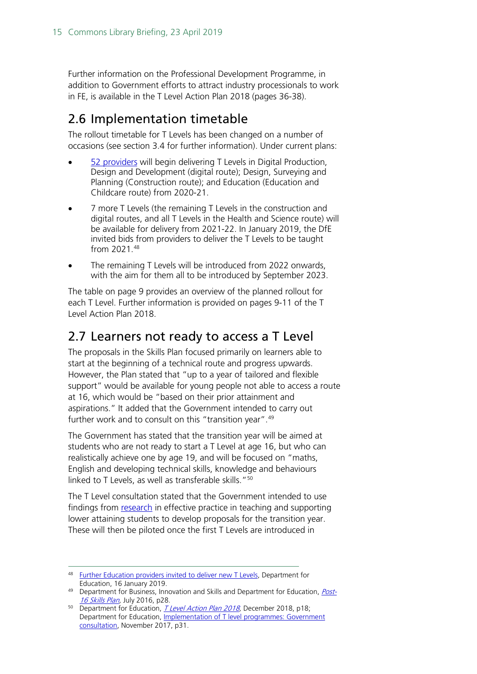Further information on the Professional Development Programme, in addition to Government efforts to attract industry processionals to work in FE, is available in the T Level Action Plan 2018 (pages 36-38).

# <span id="page-14-0"></span>2.6 Implementation timetable

The rollout timetable for T Levels has been changed on a number of occasions (see section 3.4 for further information). Under current plans:

- [52 providers](https://www.gov.uk/government/publications/providers-selected-to-deliver-t-levels-in-academic-year-2020-to-2021/providers-selected-to-deliver-t-levels-in-academic-year-2020-to-2021) will begin delivering T Levels in Digital Production, Design and Development (digital route); Design, Surveying and Planning (Construction route); and Education (Education and Childcare route) from 2020-21.
- 7 more T Levels (the remaining T Levels in the construction and digital routes, and all T Levels in the Health and Science route) will be available for delivery from 2021-22. In January 2019, the DfE invited bids from providers to deliver the T Levels to be taught from 2021.[48](#page-14-2)
- The remaining T Levels will be introduced from 2022 onwards, with the aim for them all to be introduced by September 2023.

The table on page 9 provides an overview of the planned rollout for each T Level. Further information is provided on pages 9-11 of the T Level Action Plan 2018.

# <span id="page-14-1"></span>2.7 Learners not ready to access a T Level

The proposals in the Skills Plan focused primarily on learners able to start at the beginning of a technical route and progress upwards. However, the Plan stated that "up to a year of tailored and flexible support" would be available for young people not able to access a route at 16, which would be "based on their prior attainment and aspirations." It added that the Government intended to carry out further work and to consult on this "transition year".<sup>[49](#page-14-3)</sup>

The Government has stated that the transition year will be aimed at students who are not ready to start a T Level at age 16, but who can realistically achieve one by age 19, and will be focused on "maths, English and developing technical skills, knowledge and behaviours linked to T Levels, as well as transferable skills."<sup>[50](#page-14-4)</sup>

The T Level consultation stated that the Government intended to use findings from [research](https://www.gov.uk/government/publications/supporting-entry-and-level-1-students-in-post-16-institutions) in effective practice in teaching and supporting lower attaining students to develop proposals for the transition year. These will then be piloted once the first T Levels are introduced in

<span id="page-14-2"></span><sup>48</sup> [Further Education providers invited to deliver new T Levels,](https://www.gov.uk/government/news/further-education-providers-invited-to-deliver-new-t-levels) Department for Education, 16 January 2019.

<span id="page-14-3"></span> $49$  Department for Business, Innovation and Skills and Department for Education, *[Post-](https://www.gov.uk/government/uploads/system/uploads/attachment_data/file/536043/Post-16_Skills_Plan.pdf)*[16 Skills Plan,](https://www.gov.uk/government/uploads/system/uploads/attachment_data/file/536043/Post-16_Skills_Plan.pdf) July 2016, p28.

<span id="page-14-4"></span><sup>&</sup>lt;sup>50</sup> Department for Education, *T Level Action Plan 2018*, December 2018, p18; Department for Education, [Implementation of T level programmes: Government](https://consult.education.gov.uk/technical-education/implementation-of-t-level-programmes/supporting_documents/T%20level%20consultation.pdf) [consultation,](https://consult.education.gov.uk/technical-education/implementation-of-t-level-programmes/supporting_documents/T%20level%20consultation.pdf) November 2017, p31.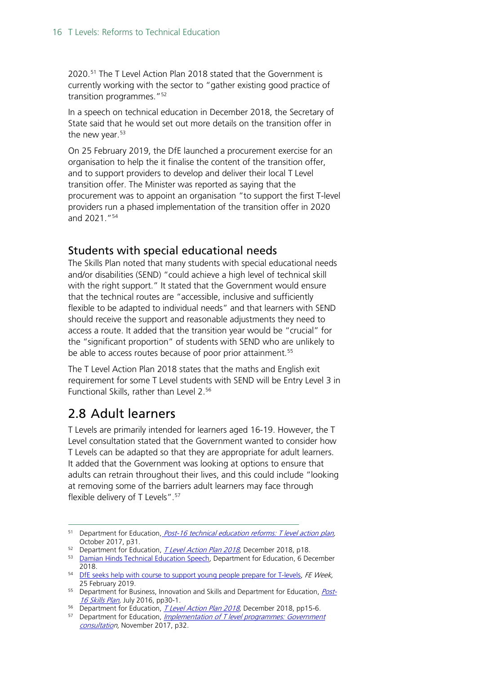2020.[51](#page-15-1) The T Level Action Plan 2018 stated that the Government is currently working with the sector to "gather existing good practice of transition programmes."<sup>[52](#page-15-2)</sup>

In a speech on technical education in December 2018, the Secretary of State said that he would set out more details on the transition offer in the new year.<sup>[53](#page-15-3)</sup>

On 25 February 2019, the DfE launched a procurement exercise for an organisation to help the it finalise the content of the transition offer, and to support providers to develop and deliver their local T Level transition offer. The Minister was reported as saying that the procurement was to appoint an organisation "to support the first T-level providers run a phased implementation of the transition offer in 2020 and 2021."[54](#page-15-4)

#### Students with special educational needs

The Skills Plan noted that many students with special educational needs and/or disabilities (SEND) "could achieve a high level of technical skill with the right support." It stated that the Government would ensure that the technical routes are "accessible, inclusive and sufficiently flexible to be adapted to individual needs" and that learners with SEND should receive the support and reasonable adjustments they need to access a route. It added that the transition year would be "crucial" for the "significant proportion" of students with SEND who are unlikely to be able to access routes because of poor prior attainment.<sup>[55](#page-15-5)</sup>

The T Level Action Plan 2018 states that the maths and English exit requirement for some T Level students with SEND will be Entry Level 3 in Functional Skills, rather than Level 2.[56](#page-15-6)

## <span id="page-15-0"></span>2.8 Adult learners

T Levels are primarily intended for learners aged 16-19. However, the T Level consultation stated that the Government wanted to consider how T Levels can be adapted so that they are appropriate for adult learners. It added that the Government was looking at options to ensure that adults can retrain throughout their lives, and this could include "looking at removing some of the barriers adult learners may face through flexible delivery of T Levels".<sup>[57](#page-15-7)</sup>

<span id="page-15-1"></span> $51$  Department for Education, *Post-16 technical education reforms: T level action plan,* October 2017, p31.

<span id="page-15-2"></span><sup>&</sup>lt;sup>52</sup> Department for Education, *T Level Action Plan 2018*, December 2018, p18.

<span id="page-15-3"></span><sup>53</sup> [Damian Hinds Technical Education Speech,](https://www.gov.uk/government/speeches/damian-hinds-technical-education-speech) Department for Education, 6 December

<span id="page-15-4"></span><sup>2018.&</sup>lt;br><sup>54</sup> D<u>fE seeks help with course to support young people prepare for T-levels</u>, FE Week, 25 February 2019.

<span id="page-15-5"></span><sup>&</sup>lt;sup>55</sup> Department for Business, Innovation and Skills and Department for Education, *[Post-](https://www.gov.uk/government/uploads/system/uploads/attachment_data/file/536043/Post-16_Skills_Plan.pdf)*[16 Skills Plan,](https://www.gov.uk/government/uploads/system/uploads/attachment_data/file/536043/Post-16_Skills_Plan.pdf) July 2016, pp30-1.

<span id="page-15-6"></span><sup>&</sup>lt;sup>56</sup> Department for Education, *T Level Action Plan 2018*, December 2018, pp15-6.

<span id="page-15-7"></span><sup>&</sup>lt;sup>57</sup> Department for Education, *Implementation of T level programmes: Government* [consultation](https://consult.education.gov.uk/technical-education/implementation-of-t-level-programmes/supporting_documents/T%20level%20consultation.pdf), November 2017, p32.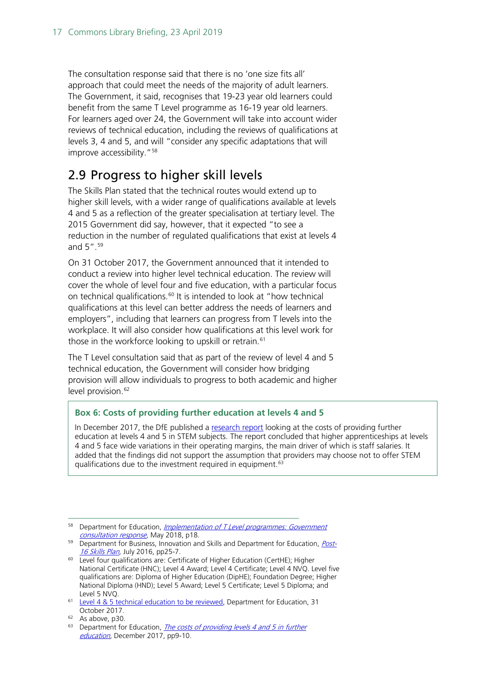The consultation response said that there is no 'one size fits all' approach that could meet the needs of the majority of adult learners. The Government, it said, recognises that 19-23 year old learners could benefit from the same T Level programme as 16-19 year old learners. For learners aged over 24, the Government will take into account wider reviews of technical education, including the reviews of qualifications at levels 3, 4 and 5, and will "consider any specific adaptations that will improve accessibility. "<sup>58</sup>

# <span id="page-16-0"></span>2.9 Progress to higher skill levels

The Skills Plan stated that the technical routes would extend up to higher skill levels, with a wider range of qualifications available at levels 4 and 5 as a reflection of the greater specialisation at tertiary level. The 2015 Government did say, however, that it expected "to see a reduction in the number of regulated qualifications that exist at levels 4 and 5".[59](#page-16-2)

On 31 October 2017, the Government announced that it intended to conduct a review into higher level technical education. The review will cover the whole of level four and five education, with a particular focus on technical qualifications.<sup>[60](#page-16-3)</sup> It is intended to look at "how technical qualifications at this level can better address the needs of learners and employers", including that learners can progress from T levels into the workplace. It will also consider how qualifications at this level work for those in the workforce looking to upskill or retrain.<sup>[61](#page-16-4)</sup>

The T Level consultation said that as part of the review of level 4 and 5 technical education, the Government will consider how bridging provision will allow individuals to progress to both academic and higher level provision.<sup>[62](#page-16-5)</sup>

#### **Box 6: Costs of providing further education at levels 4 and 5**

In December 2017, the DfE published a [research report](https://www.gov.uk/government/publications/the-costs-of-providing-levels-4-and-5-in-further-education) looking at the costs of providing further education at levels 4 and 5 in STEM subjects. The report concluded that higher apprenticeships at levels 4 and 5 face wide variations in their operating margins, the main driver of which is staff salaries. It added that the findings did not support the assumption that providers may choose not to offer STEM qualifications due to the investment required in equipment.[63](#page-16-6)

<span id="page-16-1"></span><sup>&</sup>lt;sup>58</sup> Department for Education, *[Implementation of T Level](https://assets.publishing.service.gov.uk/government/uploads/system/uploads/attachment_data/file/711472/Implementation_of_T_Level_programmes-Government_consultation_response.pdf) programmes: Government* consultation response</u>, May 2018, p18.

<span id="page-16-2"></span><sup>&</sup>lt;sup>59</sup> Department for Business, Innovation and Skills and Department for Education, *[Post-](https://www.gov.uk/government/uploads/system/uploads/attachment_data/file/536043/Post-16_Skills_Plan.pdf)*[16 Skills Plan,](https://www.gov.uk/government/uploads/system/uploads/attachment_data/file/536043/Post-16_Skills_Plan.pdf) July 2016, pp25-7.

<span id="page-16-3"></span><sup>&</sup>lt;sup>60</sup> Level four qualifications are: Certificate of Higher Education (CertHE); Higher National Certificate (HNC); Level 4 Award; Level 4 Certificate; Level 4 NVQ. Level five qualifications are: Diploma of Higher Education (DipHE); Foundation Degree; Higher National Diploma (HND); Level 5 Award; Level 5 Certificate; Level 5 Diploma; and Level 5 NVQ.

<span id="page-16-4"></span><sup>61</sup> [Level 4 & 5 technical education to be reviewed,](https://www.gov.uk/government/news/level-4-5-technical-education-to-be-reviewed) Department for Education, 31 October 2017.

<sup>62</sup> As above, p30.

<span id="page-16-6"></span><span id="page-16-5"></span> $63$  Department for Education, The costs of providing levels 4 and 5 in further [education,](https://www.gov.uk/government/publications/the-costs-of-providing-levels-4-and-5-in-further-education) December 2017, pp9-10.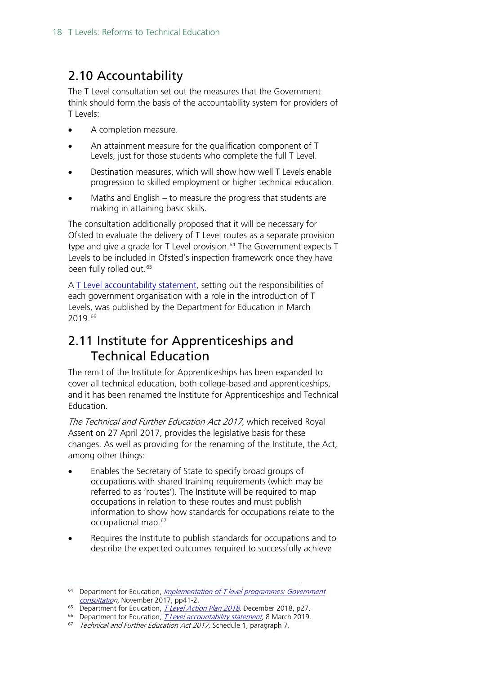# <span id="page-17-0"></span>2.10 Accountability

The T Level consultation set out the measures that the Government think should form the basis of the accountability system for providers of T Levels:

- A completion measure.
- An attainment measure for the qualification component of T Levels, just for those students who complete the full T Level.
- Destination measures, which will show how well T Levels enable progression to skilled employment or higher technical education.
- Maths and English to measure the progress that students are making in attaining basic skills.

The consultation additionally proposed that it will be necessary for Ofsted to evaluate the delivery of T Level routes as a separate provision type and give a grade for T Level provision.<sup>[64](#page-17-2)</sup> The Government expects T Levels to be included in Ofsted's inspection framework once they have been fully rolled out.<sup>[65](#page-17-3)</sup>

A [T Level accountability statement,](https://www.gov.uk/government/publications/t-level-accountability-statement) setting out the responsibilities of each government organisation with a role in the introduction of T Levels, was published by the Department for Education in March 2019.[66](#page-17-4)

# <span id="page-17-1"></span>2.11 Institute for Apprenticeships and Technical Education

The remit of the Institute for Apprenticeships has been expanded to cover all technical education, both college-based and apprenticeships, and it has been renamed the Institute for Apprenticeships and Technical Education.

The Technical and Further Education Act 2017, which received Royal Assent on 27 April 2017, provides the legislative basis for these changes. As well as providing for the renaming of the Institute, the Act, among other things:

- Enables the Secretary of State to specify broad groups of occupations with shared training requirements (which may be referred to as 'routes'). The Institute will be required to map occupations in relation to these routes and must publish information to show how standards for occupations relate to the occupational map.[67](#page-17-5)
- Requires the Institute to publish standards for occupations and to describe the expected outcomes required to successfully achieve

<span id="page-17-2"></span><sup>&</sup>lt;sup>64</sup> Department for Education, *Implementation of T level programmes: Government* [consultation](https://consult.education.gov.uk/technical-education/implementation-of-t-level-programmes/supporting_documents/T%20level%20consultation.pdf), November 2017, pp41-2.

<span id="page-17-3"></span><sup>&</sup>lt;sup>65</sup> Department for Education, *T Level Action Plan 2018*, December 2018, p27.

<span id="page-17-4"></span><sup>&</sup>lt;sup>66</sup> Department for Education, *T Level accountability statement*, 8 March 2019.

<span id="page-17-5"></span> $67$  Technical and Further Education Act 2017, Schedule 1, paragraph 7.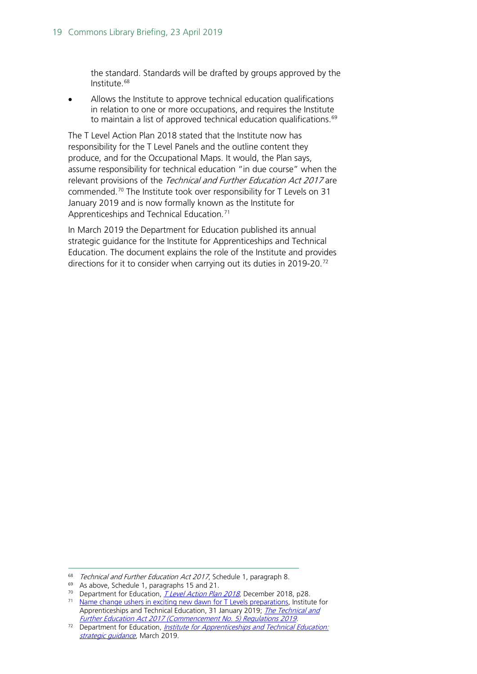the standard. Standards will be drafted by groups approved by the Institute.[68](#page-18-0)

Allows the Institute to approve technical education qualifications in relation to one or more occupations, and requires the Institute to maintain a list of approved technical education qualifications. [69](#page-18-1)

The T Level Action Plan 2018 stated that the Institute now has responsibility for the T Level Panels and the outline content they produce, and for the Occupational Maps. It would, the Plan says, assume responsibility for technical education "in due course" when the relevant provisions of the Technical and Further Education Act 2017 are commended.[70](#page-18-2) The Institute took over responsibility for T Levels on 31 January 2019 and is now formally known as the Institute for Apprenticeships and Technical Education.<sup>[71](#page-18-3)</sup>

In March 2019 the Department for Education published its annual strategic guidance for the Institute for Apprenticeships and Technical Education. The document explains the role of the Institute and provides directions for it to consider when carrying out its duties in 2019-20.<sup>[72](#page-18-4)</sup>

<span id="page-18-0"></span><sup>&</sup>lt;sup>68</sup> Technical and Further Education Act 2017, Schedule 1, paragraph 8.

<span id="page-18-1"></span><sup>69</sup> As above, Schedule 1, paragraphs 15 and 21.

<sup>&</sup>lt;sup>70</sup> Department for Education, *T Level Action Plan 2018*, December 2018, p28.

<span id="page-18-3"></span><span id="page-18-2"></span><sup>&</sup>lt;sup>71</sup> [Name change ushers in exciting new dawn for T Levels preparations,](https://www.instituteforapprenticeships.org/about/news-events/name-change-ushers-in-exciting-new-dawn-for-t-levels-preparations/) Institute for Apprenticeships and Technical Education, 31 January 2019; The Technical and [Further Education Act 2017 \(Commencement No. 5\) Regulations 2019.](https://www.legislation.gov.uk/uksi/2019/61/contents/made)

<span id="page-18-4"></span><sup>&</sup>lt;sup>72</sup> Department for Education, *Institute for Apprenticeships and Technical Education:* [strategic guidance](https://www.gov.uk/government/publications/institute-for-apprenticeships-and-technical-education-strategic-guidance), March 2019.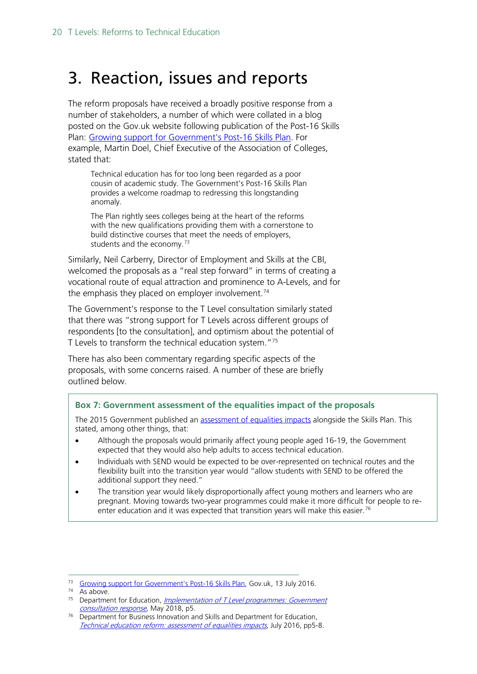# <span id="page-19-0"></span>3. Reaction, issues and reports

The reform proposals have received a broadly positive response from a number of stakeholders, a number of which were collated in a blog posted on the Gov.uk website following publication of the Post-16 Skills Plan: [Growing support for Government's Post-16 Skills Plan.](https://dfemedia.blog.gov.uk/2016/07/13/growing-support-for-governments-post-16-skills-plan-for-technical-education-reform/) For example, Martin Doel, Chief Executive of the Association of Colleges, stated that:

Technical education has for too long been regarded as a poor cousin of academic study. The Government's Post-16 Skills Plan provides a welcome roadmap to redressing this longstanding anomaly.

The Plan rightly sees colleges being at the heart of the reforms with the new qualifications providing them with a cornerstone to build distinctive courses that meet the needs of employers, students and the economy.<sup>[73](#page-19-1)</sup>

Similarly, Neil Carberry, Director of Employment and Skills at the CBI, welcomed the proposals as a "real step forward" in terms of creating a vocational route of equal attraction and prominence to A-Levels, and for the emphasis they placed on employer involvement.<sup>[74](#page-19-2)</sup>

The Government's response to the T Level consultation similarly stated that there was "strong support for T Levels across different groups of respondents [to the consultation], and optimism about the potential of T Levels to transform the technical education system."[75](#page-19-3)

There has also been commentary regarding specific aspects of the proposals, with some concerns raised. A number of these are briefly outlined below.

#### **Box 7: Government assessment of the equalities impact of the proposals**

The 2015 Government published an [assessment of equalities impacts](https://www.gov.uk/government/publications/technical-education-reform-impact-assessment) alongside the Skills Plan. This stated, among other things, that:

- Although the proposals would primarily affect young people aged 16-19, the Government expected that they would also help adults to access technical education.
- Individuals with SEND would be expected to be over-represented on technical routes and the flexibility built into the transition year would "allow students with SEND to be offered the additional support they need."
- The transition year would likely disproportionally affect young mothers and learners who are pregnant. Moving towards two-year programmes could make it more difficult for people to re-enter education and it was expected that transition years will make this easier.<sup>[76](#page-19-4)</sup>

<span id="page-19-1"></span><sup>&</sup>lt;sup>73</sup> [Growing support for Government's Post-16 Skills Plan,](https://dfemedia.blog.gov.uk/2016/07/13/growing-support-for-governments-post-16-skills-plan-for-technical-education-reform/) Gov.uk, 13 July 2016.

<span id="page-19-2"></span><sup>74</sup> As above.

<span id="page-19-3"></span><sup>&</sup>lt;sup>75</sup> Department for Education, *Implementation of T Level programmes: Government* consultation response</u>, May 2018, p5.

<span id="page-19-4"></span><sup>&</sup>lt;sup>76</sup> Department for Business Innovation and Skills and Department for Education, [Technical education reform: assessment of equalities impacts](https://www.gov.uk/government/uploads/system/uploads/attachment_data/file/536072/Tecnical_Education_Reform-Assessment_Of_Equalities_Impact.pdf), July 2016, pp5-8.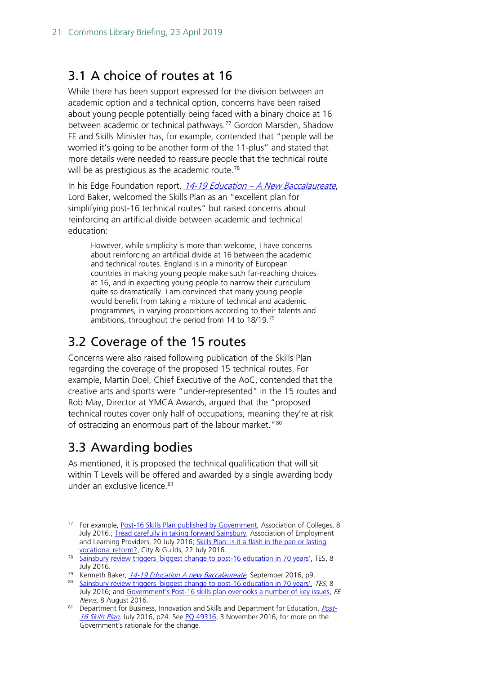## <span id="page-20-0"></span>3.1 A choice of routes at 16

While there has been support expressed for the division between an academic option and a technical option, concerns have been raised about young people potentially being faced with a binary choice at 16 between academic or technical pathways.<sup>[77](#page-20-3)</sup> Gordon Marsden, Shadow FE and Skills Minister has, for example, contended that "people will be worried it's going to be another form of the 11-plus" and stated that more details were needed to reassure people that the technical route will be as prestigious as the academic route.<sup>[78](#page-20-4)</sup>

In his Edge Foundation report, 14-19 Education - [A New Baccalaureate](http://www.edge.co.uk/sites/default/files/documents/14-19_education_-_a_new_baccalaureate.pdf), Lord Baker, welcomed the Skills Plan as an "excellent plan for simplifying post-16 technical routes" but raised concerns about reinforcing an artificial divide between academic and technical education:

However, while simplicity is more than welcome, I have concerns about reinforcing an artificial divide at 16 between the academic and technical routes. England is in a minority of European countries in making young people make such far-reaching choices at 16, and in expecting young people to narrow their curriculum quite so dramatically. I am convinced that many young people would benefit from taking a mixture of technical and academic programmes, in varying proportions according to their talents and ambitions, throughout the period from 14 to 18/19.[79](#page-20-5)

## <span id="page-20-1"></span>3.2 Coverage of the 15 routes

Concerns were also raised following publication of the Skills Plan regarding the coverage of the proposed 15 technical routes. For example, Martin Doel, Chief Executive of the AoC, contended that the creative arts and sports were "under-represented" in the 15 routes and Rob May, Director at YMCA Awards, argued that the "proposed technical routes cover only half of occupations, meaning they're at risk of ostracizing an enormous part of the labour market."<sup>[80](#page-20-6)</sup>

# <span id="page-20-2"></span>3.3 Awarding bodies

As mentioned, it is proposed the technical qualification that will sit within T Levels will be offered and awarded by a single awarding body under an exclusive licence.<sup>[81](#page-20-7)</sup>

<span id="page-20-3"></span><sup>&</sup>lt;sup>77</sup> For example[, Post-16 Skills Plan published by Government,](https://www.aoc.co.uk/news/post-16-skills-plan-published-government) Association of Colleges, 8 July 2016 : [Tread carefully in taking forward Sainsbury,](https://www.aelp.org.uk/news/aelp-blog/details/tread-carefully-in-taking-forward-sainsbury/) Association of Employment and Learning Providers, 20 July 2016; Skills Plan: is it a flash in the pan or lasting [vocational reform?,](http://www.cityandguilds.com/news/July-2016/Skills-Plan#.WCBlctKLS01) City & Guilds, 22 July 2016.

<span id="page-20-4"></span><sup>&</sup>lt;sup>78</sup> [Sainsbury review triggers 'biggest change to post-16 education in 70 years',](https://www.tes.com/news/further-education/breaking-news/sainsbury-review-triggers-biggest-change-post-16-education-70) TES, 8 July 2016.

<sup>&</sup>lt;sup>79</sup> Kenneth Baker, [14-19 Education A new Baccalaureate](http://www.edge.co.uk/sites/default/files/documents/14-19_education_-_a_new_baccalaureate.pdf), September 2016, p9.

<span id="page-20-6"></span><span id="page-20-5"></span><sup>80</sup> [Sainsbury review triggers 'biggest change to post-16](https://www.tes.com/news/further-education/breaking-news/sainsbury-review-triggers-biggest-change-post-16-education-70) education in 70 years', TES, 8 July 2016; and [Government's Post-16 skills plan overlooks a number of key issues,](https://www.fenews.co.uk/featured-article/government-s-post-16-skills-plan-overlooks-a-number-of-key-issues-12379) FE News, 8 August 2016.

<span id="page-20-7"></span><sup>81</sup> Department for Business, Innovation and Skills and Department for Education, [Post-](https://www.gov.uk/government/uploads/system/uploads/attachment_data/file/536043/Post-16_Skills_Plan.pdf)[16 Skills Plan,](https://www.gov.uk/government/uploads/system/uploads/attachment_data/file/536043/Post-16_Skills_Plan.pdf) July 2016, p24. See PO 49316, 3 November 2016, for more on the Government's rationale for the change.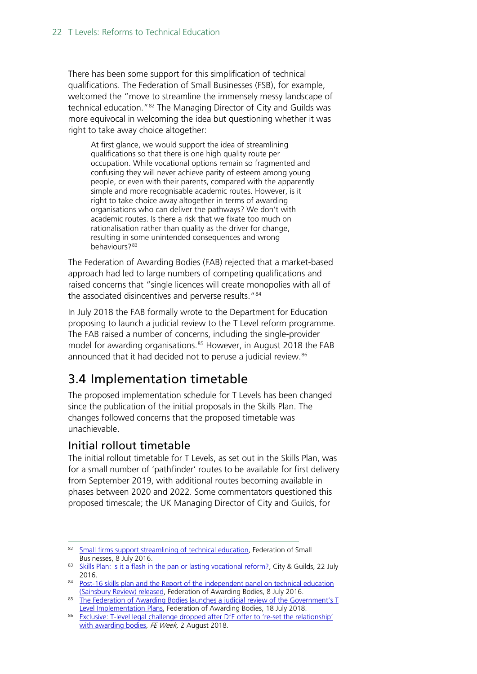There has been some support for this simplification of technical qualifications. The Federation of Small Businesses (FSB), for example, welcomed the "move to streamline the immensely messy landscape of technical education."<sup>[82](#page-21-1)</sup> The Managing Director of City and Guilds was more equivocal in welcoming the idea but questioning whether it was right to take away choice altogether:

At first glance, we would support the idea of streamlining qualifications so that there is one high quality route per occupation. While vocational options remain so fragmented and confusing they will never achieve parity of esteem among young people, or even with their parents, compared with the apparently simple and more recognisable academic routes. However, is it right to take choice away altogether in terms of awarding organisations who can deliver the pathways? We don't with academic routes. Is there a risk that we fixate too much on rationalisation rather than quality as the driver for change, resulting in some unintended consequences and wrong behaviours?<sup>[83](#page-21-2)</sup>

The Federation of Awarding Bodies (FAB) rejected that a market-based approach had led to large numbers of competing qualifications and raised concerns that "single licences will create monopolies with all of the associated disincentives and perverse results."<sup>[84](#page-21-3)</sup>

In July 2018 the FAB formally wrote to the Department for Education proposing to launch a judicial review to the T Level reform programme. The FAB raised a number of concerns, including the single-provider model for awarding organisations.<sup>[85](#page-21-4)</sup> However, in August 2018 the FAB announced that it had decided not to peruse a judicial review.<sup>[86](#page-21-5)</sup>

# <span id="page-21-0"></span>3.4 Implementation timetable

The proposed implementation schedule for T Levels has been changed since the publication of the initial proposals in the Skills Plan. The changes followed concerns that the proposed timetable was unachievable.

#### Initial rollout timetable

The initial rollout timetable for T Levels, as set out in the Skills Plan, was for a small number of 'pathfinder' routes to be available for first delivery from September 2019, with additional routes becoming available in phases between 2020 and 2022. Some commentators questioned this proposed timescale; the UK Managing Director of City and Guilds, for

<span id="page-21-1"></span><sup>82</sup> [Small firms support streamlining of technical education,](http://www.fsb.org.uk/standing-up-for-you/national-offices/uk-westminster/press-releases/small-firms-support-streamlining-of-technical-education) Federation of Small Businesses, 8 July 2016.

<span id="page-21-2"></span><sup>83</sup> [Skills Plan: is it a flash in the pan or lasting vocational reform?,](http://www.cityandguilds.com/news/July-2016/Skills-Plan#.WCBscdKLS02) City & Guilds, 22 July 2016.

<span id="page-21-3"></span><sup>84</sup> Post-16 skills plan and the Report of the independent panel on technical education [\(Sainsbury Review\) released,](http://www.awarding.org.uk/news/item/post-16-skills-plan-and-the-report-of-the-independent-panel-on-technical-education-sainsbury-review-released) Federation of Awarding Bodies, 8 July 2016.

<span id="page-21-4"></span><sup>&</sup>lt;sup>85</sup> The Federation of Awarding Bodies launches a judicial review of the Government's T [Level Implementation Plans,](http://www.awarding.org.uk/news/item/the-federation-of-awarding-bodies-launches-a-judicial-review-of-the-government-s-t-level-implementation-plans) Federation of Awarding Bodies, 18 July 2018.

<span id="page-21-5"></span><sup>86</sup> Exclusive: T-level legal challenge dropped after DfE offer to 're-set the relationship' [with awarding bodies,](https://feweek.co.uk/2018/08/02/exclusive-t-level-legal-challenge-dropped-after-dfe-offer-to-re-set-the-relationship-with-awarding-bodies/) FE Week, 2 August 2018.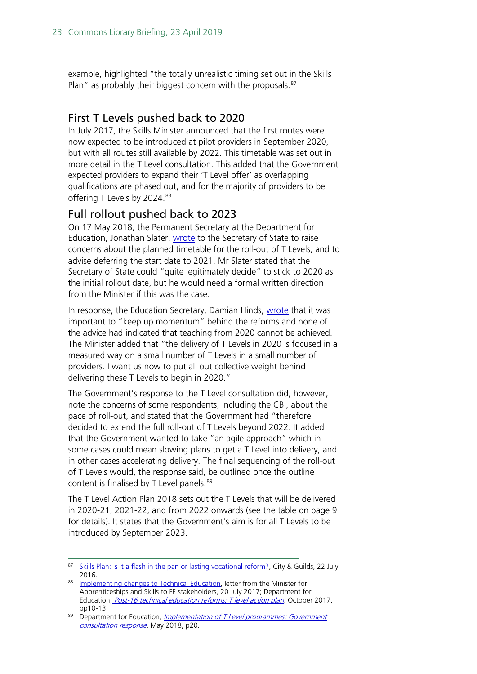example, highlighted "the totally unrealistic timing set out in the Skills Plan" as probably their biggest concern with the proposals.<sup>[87](#page-22-0)</sup>

#### First T Levels pushed back to 2020

In July 2017, the Skills Minister announced that the first routes were now expected to be introduced at pilot providers in September 2020, but with all routes still available by 2022. This timetable was set out in more detail in the T Level consultation. This added that the Government expected providers to expand their 'T Level offer' as overlapping qualifications are phased out, and for the majority of providers to be offering T Levels by 2024.<sup>[88](#page-22-1)</sup>

#### Full rollout pushed back to 2023

On 17 May 2018, the Permanent Secretary at the Department for Education, Jonathan Slater, [wrote](https://assets.publishing.service.gov.uk/government/uploads/system/uploads/attachment_data/file/710831/180517_Request_for_Ministerial_Direction_-_T-Levels.pdf) to the Secretary of State to raise concerns about the planned timetable for the roll-out of T Levels, and to advise deferring the start date to 2021. Mr Slater stated that the Secretary of State could "quite legitimately decide" to stick to 2020 as the initial rollout date, but he would need a formal written direction from the Minister if this was the case.

In response, the Education Secretary, Damian Hinds, [wrote](https://assets.publishing.service.gov.uk/government/uploads/system/uploads/attachment_data/file/710832/T_Level_timetable_direction_-_SoS_to_Permanent_Secretary_-_24_May_2018.pdf) that it was important to "keep up momentum" behind the reforms and none of the advice had indicated that teaching from 2020 cannot be achieved. The Minister added that "the delivery of T Levels in 2020 is focused in a measured way on a small number of T Levels in a small number of providers. I want us now to put all out collective weight behind delivering these T Levels to begin in 2020."

The Government's response to the T Level consultation did, however, note the concerns of some respondents, including the CBI, about the pace of roll-out, and stated that the Government had "therefore decided to extend the full roll-out of T Levels beyond 2022. It added that the Government wanted to take "an agile approach" which in some cases could mean slowing plans to get a T Level into delivery, and in other cases accelerating delivery. The final sequencing of the roll-out of T Levels would, the response said, be outlined once the outline content is finalised by T Level panels.<sup>[89](#page-22-2)</sup>

The T Level Action Plan 2018 sets out the T Levels that will be delivered in 2020-21, 2021-22, and from 2022 onwards (see the table on page 9 for details). It states that the Government's aim is for all T Levels to be introduced by September 2023.

<span id="page-22-0"></span><sup>87</sup> [Skills Plan: is it a flash in the pan or lasting vocational reform?,](http://www.cityandguilds.com/news/July-2016/Skills-Plan#.WCB40dKLS01) City & Guilds, 22 July 2016.

<span id="page-22-1"></span><sup>88</sup> [Implementing changes to Technical Education,](http://www.awarding.org.uk/images/pdfs/Anne_Milton_letter_re_Implementing_changes_to_Technical_Education_200717.pdf) letter from the Minister for Apprenticeships and Skills to FE stakeholders, 20 July 2017; Department for Education, [Post-16 technical education reforms: T level action plan,](https://www.gov.uk/government/uploads/system/uploads/attachment_data/file/650969/T_level_Action_Plan.pdf) October 2017, pp10-13.

<span id="page-22-2"></span><sup>&</sup>lt;sup>89</sup> Department for Education, *Implementation of T Level programmes: Government* [consultation response,](https://assets.publishing.service.gov.uk/government/uploads/system/uploads/attachment_data/file/711472/Implementation_of_T_Level_programmes-Government_consultation_response.pdf) May 2018, p20.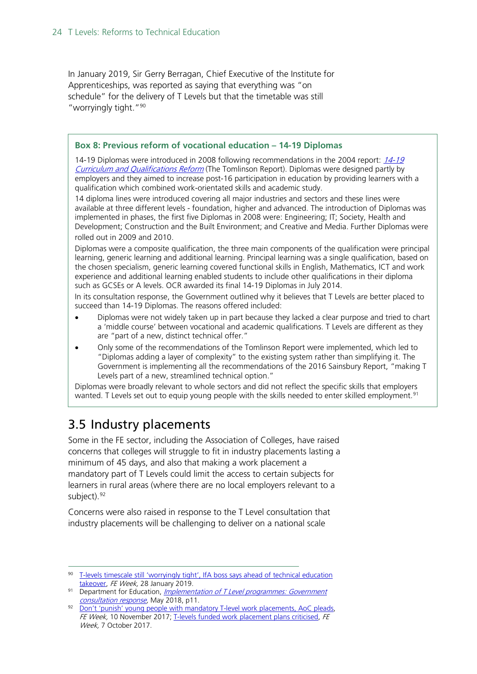In January 2019, Sir Gerry Berragan, Chief Executive of the Institute for Apprenticeships, was reported as saying that everything was "on schedule" for the delivery of T Levels but that the timetable was still "worryingly tight."[90](#page-23-1)

#### **Box 8: Previous reform of vocational education – 14-19 Diplomas**

14-19 Diplomas were introduced in 2008 following recommendations in the 2004 report: [14-19](http://www.educationengland.org.uk/documents/pdfs/2004-tomlinson-report.pdf)  [Curriculum and Qualifications Reform](http://www.educationengland.org.uk/documents/pdfs/2004-tomlinson-report.pdf) (The Tomlinson Report). Diplomas were designed partly by employers and they aimed to increase post-16 participation in education by providing learners with a qualification which combined work-orientated skills and academic study.

14 diploma lines were introduced covering all major industries and sectors and these lines were available at three different levels - foundation, higher and advanced. The introduction of Diplomas was implemented in phases, the first five Diplomas in 2008 were: Engineering; IT; Society, Health and Development; Construction and the Built Environment; and Creative and Media. Further Diplomas were rolled out in 2009 and 2010.

Diplomas were a composite qualification, the three main components of the qualification were principal learning, generic learning and additional learning. Principal learning was a single qualification, based on the chosen specialism, generic learning covered functional skills in English, Mathematics, ICT and work experience and additional learning enabled students to include other qualifications in their diploma such as GCSEs or A levels. OCR awarded its final 14-19 Diplomas in July 2014.

In its consultation response, the Government outlined why it believes that T Levels are better placed to succeed than 14-19 Diplomas. The reasons offered included:

- Diplomas were not widely taken up in part because they lacked a clear purpose and tried to chart a 'middle course' between vocational and academic qualifications. T Levels are different as they are "part of a new, distinct technical offer."
- Only some of the recommendations of the Tomlinson Report were implemented, which led to "Diplomas adding a layer of complexity" to the existing system rather than simplifying it. The Government is implementing all the recommendations of the 2016 Sainsbury Report, "making T Levels part of a new, streamlined technical option."

Diplomas were broadly relevant to whole sectors and did not reflect the specific skills that employers wanted. T Levels set out to equip young people with the skills needed to enter skilled employment.<sup>[91](#page-23-2)</sup>

# <span id="page-23-0"></span>3.5 Industry placements

Some in the FE sector, including the Association of Colleges, have raised concerns that colleges will struggle to fit in industry placements lasting a minimum of 45 days, and also that making a work placement a mandatory part of T Levels could limit the access to certain subjects for learners in rural areas (where there are no local employers relevant to a subject).<sup>[92](#page-23-3)</sup>

Concerns were also raised in response to the T Level consultation that industry placements will be challenging to deliver on a national scale

<span id="page-23-1"></span> <sup>90</sup> [T-levels timescale still 'worryingly tight', IfA boss says ahead of technical education](https://feweek.co.uk/2019/01/28/t-levels-timescale-still-worryingly-tight-ifa-boss-says-ahead-of-technical-education-takeover/)  [takeover,](https://feweek.co.uk/2019/01/28/t-levels-timescale-still-worryingly-tight-ifa-boss-says-ahead-of-technical-education-takeover/) FE Week, 28 January 2019.

<span id="page-23-2"></span><sup>91</sup> Department for Education, *Implementation of T Level programmes: Government* [consultation response,](https://assets.publishing.service.gov.uk/government/uploads/system/uploads/attachment_data/file/711472/Implementation_of_T_Level_programmes-Government_consultation_response.pdf) May 2018, p11.

<span id="page-23-3"></span><sup>92</sup> Don't 'punish' young people with [mandatory T-level work placements, AoC pleads,](https://feweek.co.uk/2017/11/10/aoc-pleads-dont-punish-the-young-with-mandatory-t-levels-work-placements/) FE Week, 10 November 2017; [T-levels funded work placement plans criticised,](https://feweek.co.uk/2017/10/07/t-levels-funded-work-placement-plans-criticised/) FE Week, 7 October 2017.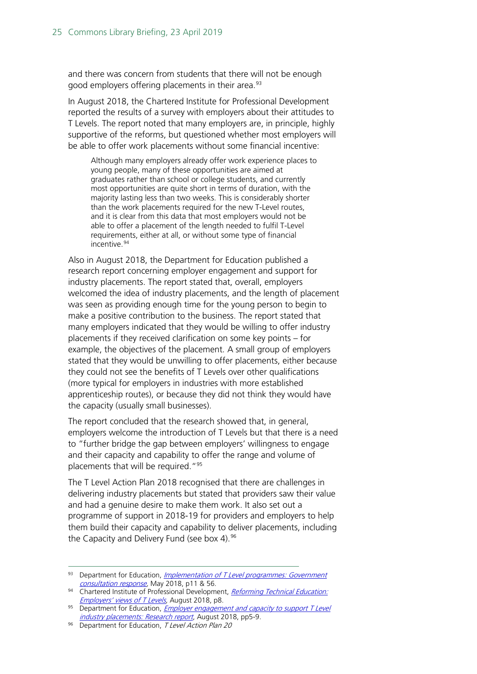and there was concern from students that there will not be enough good employers offering placements in their area.<sup>[93](#page-24-0)</sup>

In August 2018, the Chartered Institute for Professional Development reported the results of a survey with employers about their attitudes to T Levels. The report noted that many employers are, in principle, highly supportive of the reforms, but questioned whether most employers will be able to offer work placements without some financial incentive:

Although many employers already offer work experience places to young people, many of these opportunities are aimed at graduates rather than school or college students, and currently most opportunities are quite short in terms of duration, with the majority lasting less than two weeks. This is considerably shorter than the work placements required for the new T-Level routes, and it is clear from this data that most employers would not be able to offer a placement of the length needed to fulfil T-Level requirements, either at all, or without some type of financial incentive.<sup>[94](#page-24-1)</sup>

Also in August 2018, the Department for Education published a research report concerning employer engagement and support for industry placements. The report stated that, overall, employers welcomed the idea of industry placements, and the length of placement was seen as providing enough time for the young person to begin to make a positive contribution to the business. The report stated that many employers indicated that they would be willing to offer industry placements if they received clarification on some key points – for example, the objectives of the placement. A small group of employers stated that they would be unwilling to offer placements, either because they could not see the benefits of T Levels over other qualifications (more typical for employers in industries with more established apprenticeship routes), or because they did not think they would have the capacity (usually small businesses).

The report concluded that the research showed that, in general, employers welcome the introduction of T Levels but that there is a need to "further bridge the gap between employers' willingness to engage and their capacity and capability to offer the range and volume of placements that will be required."[95](#page-24-2)

The T Level Action Plan 2018 recognised that there are challenges in delivering industry placements but stated that providers saw their value and had a genuine desire to make them work. It also set out a programme of support in 2018-19 for providers and employers to help them build their capacity and capability to deliver placements, including the Capacity and Delivery Fund (see box 4).<sup>[96](#page-24-3)</sup>

<span id="page-24-0"></span><sup>93</sup> Department for Education, Implementation of T Level programmes: Government [consultation response,](https://assets.publishing.service.gov.uk/government/uploads/system/uploads/attachment_data/file/711472/Implementation_of_T_Level_programmes-Government_consultation_response.pdf) May 2018, p11 & 56.

<span id="page-24-1"></span><sup>94</sup> Chartered Institute of Professional Development, Reforming Technical Education:<br>Employers' views of T Levels, August 2018, p8.

<span id="page-24-2"></span><sup>&</sup>lt;sup>95</sup> Department for Education, *Employer engagement and capacity to support T Level* [industry placements: Research report](https://assets.publishing.service.gov.uk/government/uploads/system/uploads/attachment_data/file/737471/Employer_Capacity_Report.pdf), August 2018, pp5-9.

<span id="page-24-3"></span><sup>96</sup> Department for Education, T Level Action Plan 20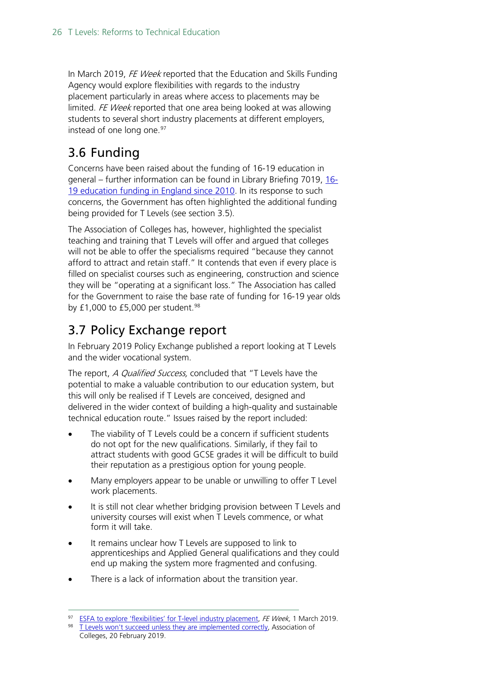In March 2019, FE Week reported that the Education and Skills Funding Agency would explore flexibilities with regards to the industry placement particularly in areas where access to placements may be limited. FE Week reported that one area being looked at was allowing students to several short industry placements at different employers, instead of one long one.<sup>[97](#page-25-2)</sup>

# <span id="page-25-0"></span>3.6 Funding

Concerns have been raised about the funding of 16-19 education in general – further information can be found in Library Briefing 7019, [16-](https://researchbriefings.parliament.uk/ResearchBriefing/Summary/SN07019) [19 education funding in England since 2010.](https://researchbriefings.parliament.uk/ResearchBriefing/Summary/SN07019) In its response to such concerns, the Government has often highlighted the additional funding being provided for T Levels (see section 3.5).

The Association of Colleges has, however, highlighted the specialist teaching and training that T Levels will offer and argued that colleges will not be able to offer the specialisms required "because they cannot afford to attract and retain staff." It contends that even if every place is filled on specialist courses such as engineering, construction and science they will be "operating at a significant loss." The Association has called for the Government to raise the base rate of funding for 16-19 year olds by £1,000 to £5,000 per student. $98$ 

# <span id="page-25-1"></span>3.7 Policy Exchange report

In February 2019 Policy Exchange published a report looking at T Levels and the wider vocational system.

The report, *A Qualified Success*, concluded that "T Levels have the potential to make a valuable contribution to our education system, but this will only be realised if T Levels are conceived, designed and delivered in the wider context of building a high-quality and sustainable technical education route." Issues raised by the report included:

- The viability of T Levels could be a concern if sufficient students do not opt for the new qualifications. Similarly, if they fail to attract students with good GCSE grades it will be difficult to build their reputation as a prestigious option for young people.
- Many employers appear to be unable or unwilling to offer T Level work placements.
- It is still not clear whether bridging provision between T Levels and university courses will exist when T Levels commence, or what form it will take.
- It remains unclear how T Levels are supposed to link to apprenticeships and Applied General qualifications and they could end up making the system more fragmented and confusing.
- There is a lack of information about the transition year.

<span id="page-25-2"></span><sup>97</sup> [ESFA to explore 'flexibilities' for T-level industry placement,](https://feweek.co.uk/2019/03/01/esfa-to-explore-flexibilities-for-t-level-industry-placement/) FE Week, 1 March 2019.

<span id="page-25-3"></span><sup>98</sup> [T Levels won't succeed unless they are implemented correctly,](https://www.aoc.co.uk/news/t-levels-wont-succeed-unless-they-are-implemented-correctly) Association of Colleges, 20 February 2019.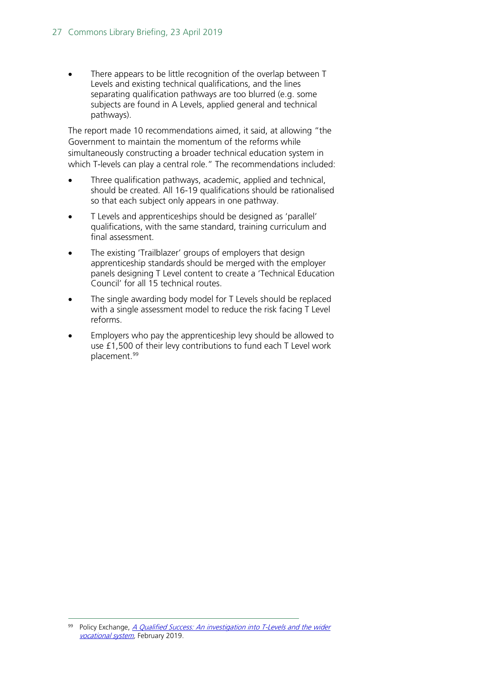There appears to be little recognition of the overlap between T Levels and existing technical qualifications, and the lines separating qualification pathways are too blurred (e.g. some subjects are found in A Levels, applied general and technical pathways).

The report made 10 recommendations aimed, it said, at allowing "the Government to maintain the momentum of the reforms while simultaneously constructing a broader technical education system in which T-levels can play a central role." The recommendations included:

- Three qualification pathways, academic, applied and technical, should be created. All 16-19 qualifications should be rationalised so that each subject only appears in one pathway.
- T Levels and apprenticeships should be designed as 'parallel' qualifications, with the same standard, training curriculum and final assessment.
- The existing 'Trailblazer' groups of employers that design apprenticeship standards should be merged with the employer panels designing T Level content to create a 'Technical Education Council' for all 15 technical routes.
- The single awarding body model for T Levels should be replaced with a single assessment model to reduce the risk facing T Level reforms.
- Employers who pay the apprenticeship levy should be allowed to use £1,500 of their levy contributions to fund each T Level work placement.[99](#page-26-0)

<span id="page-26-0"></span> $99$  Policy Exchange, A Qualified Success: An investigation into T-Levels and the wider [vocational system,](https://policyexchange.org.uk/publication/a-qualified-success/) February 2019.